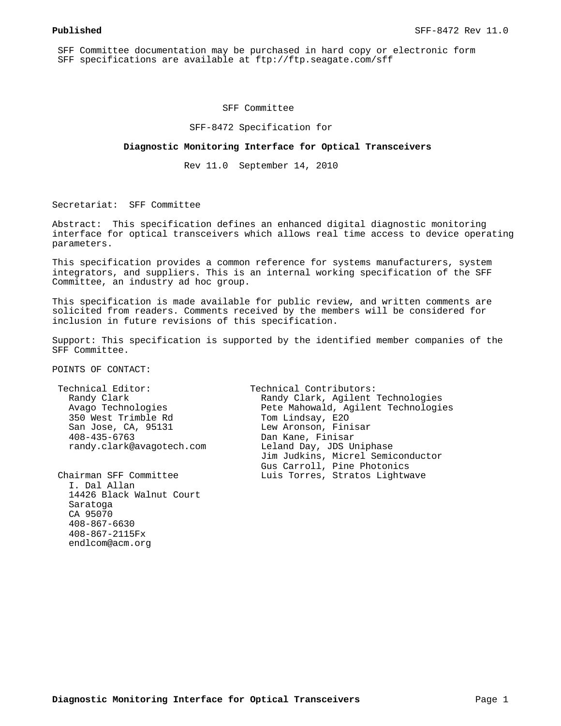SFF Committee documentation may be purchased in hard copy or electronic form SFF specifications are available at ftp://ftp.seagate.com/sff

#### SFF Committee

SFF-8472 Specification for

#### **Diagnostic Monitoring Interface for Optical Transceivers**

Rev 11.0 September 14, 2010

Secretariat: SFF Committee

Abstract: This specification defines an enhanced digital diagnostic monitoring interface for optical transceivers which allows real time access to device operating parameters.

This specification provides a common reference for systems manufacturers, system integrators, and suppliers. This is an internal working specification of the SFF Committee, an industry ad hoc group.

This specification is made available for public review, and written comments are solicited from readers. Comments received by the members will be considered for inclusion in future revisions of this specification.

Support: This specification is supported by the identified member companies of the SFF Committee.

POINTS OF CONTACT:

Technical Editor: Technical Contributors:<br>Randy Clark (Randy Clark, Agilent) 350 West Trimble Rd Tom Lindsay, E20 San Jose, CA, 95131 Lew Aronson, Finisar 408-435-6763 Dan Kane, Finisar randy.clark@avagotech.com Leland Day, JDS Uniphase

 I. Dal Allan 14426 Black Walnut Court Saratoga CA 95070 408-867-6630 408-867-2115Fx endlcom@acm.org

Randy Clark, Agilent Technologies Avago Technologies Pete Mahowald, Agilent Technologies Jim Judkins, Micrel Semiconductor Gus Carroll, Pine Photonics Luis Torres, Stratos Lightwave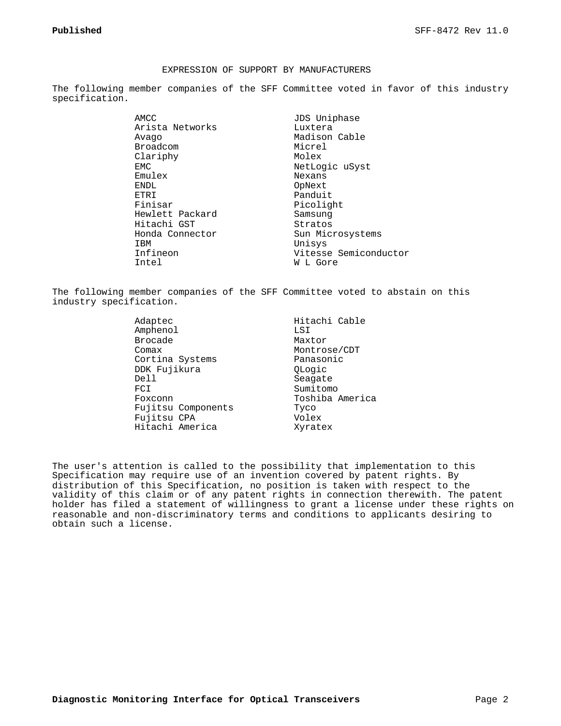#### EXPRESSION OF SUPPORT BY MANUFACTURERS

The following member companies of the SFF Committee voted in favor of this industry specification.

> AMCC JDS Uniphase Arista Networks Luxtera Avago Madison Cable Broadcom Micrel Clariphy Molex EMC NetLogic uSyst Emulex Nexans ENDL<br>ETRI Pandui ETRI Panduit<br>Finisar Picolig Hewlett Packard Samsung Hitachi GST Stratos Honda Connector Sun Microsystems IBM Unisys

Picolight Infineon Vitesse Semiconductor W L Gore

The following member companies of the SFF Committee voted to abstain on this industry specification.

> Amphenol LSI Brocade Maxtor Comax Montrose/CDT Cortina Systems Panasonic DDK Fujikura QLogic FCI Sumitomo Foxconn Toshiba America Fujitsu Components Tyco Fujitsu CPA Volex Hitachi America Xyratex

Adaptec Hitachi Cable Seagate

The user's attention is called to the possibility that implementation to this Specification may require use of an invention covered by patent rights. By distribution of this Specification, no position is taken with respect to the validity of this claim or of any patent rights in connection therewith. The patent holder has filed a statement of willingness to grant a license under these rights on reasonable and non-discriminatory terms and conditions to applicants desiring to obtain such a license.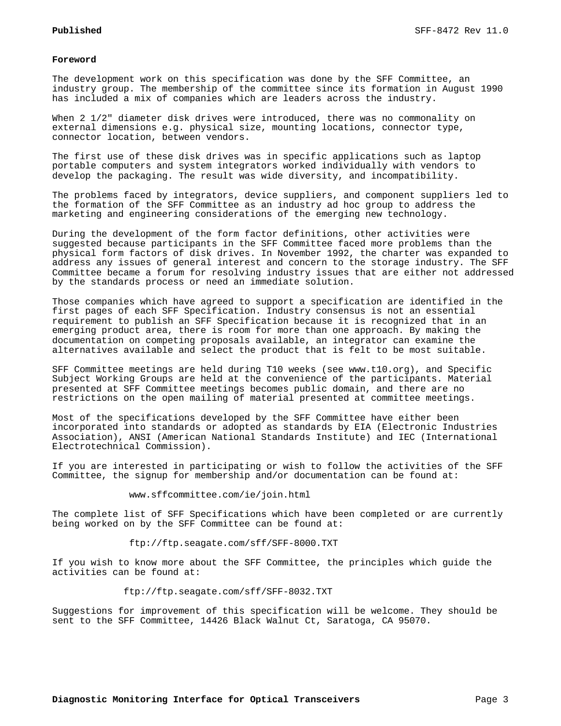#### **Foreword**

The development work on this specification was done by the SFF Committee, an industry group. The membership of the committee since its formation in August 1990 has included a mix of companies which are leaders across the industry.

When 2 1/2" diameter disk drives were introduced, there was no commonality on external dimensions e.g. physical size, mounting locations, connector type, connector location, between vendors.

The first use of these disk drives was in specific applications such as laptop portable computers and system integrators worked individually with vendors to develop the packaging. The result was wide diversity, and incompatibility.

The problems faced by integrators, device suppliers, and component suppliers led to the formation of the SFF Committee as an industry ad hoc group to address the marketing and engineering considerations of the emerging new technology.

During the development of the form factor definitions, other activities were suggested because participants in the SFF Committee faced more problems than the physical form factors of disk drives. In November 1992, the charter was expanded to address any issues of general interest and concern to the storage industry. The SFF Committee became a forum for resolving industry issues that are either not addressed by the standards process or need an immediate solution.

Those companies which have agreed to support a specification are identified in the first pages of each SFF Specification. Industry consensus is not an essential requirement to publish an SFF Specification because it is recognized that in an emerging product area, there is room for more than one approach. By making the documentation on competing proposals available, an integrator can examine the alternatives available and select the product that is felt to be most suitable.

SFF Committee meetings are held during T10 weeks (see www.t10.org), and Specific Subject Working Groups are held at the convenience of the participants. Material presented at SFF Committee meetings becomes public domain, and there are no restrictions on the open mailing of material presented at committee meetings.

Most of the specifications developed by the SFF Committee have either been incorporated into standards or adopted as standards by EIA (Electronic Industries Association), ANSI (American National Standards Institute) and IEC (International Electrotechnical Commission).

If you are interested in participating or wish to follow the activities of the SFF Committee, the signup for membership and/or documentation can be found at:

#### www.sffcommittee.com/ie/join.html

The complete list of SFF Specifications which have been completed or are currently being worked on by the SFF Committee can be found at:

#### ftp://ftp.seagate.com/sff/SFF-8000.TXT

If you wish to know more about the SFF Committee, the principles which guide the activities can be found at:

ftp://ftp.seagate.com/sff/SFF-8032.TXT

Suggestions for improvement of this specification will be welcome. They should be sent to the SFF Committee, 14426 Black Walnut Ct, Saratoga, CA 95070.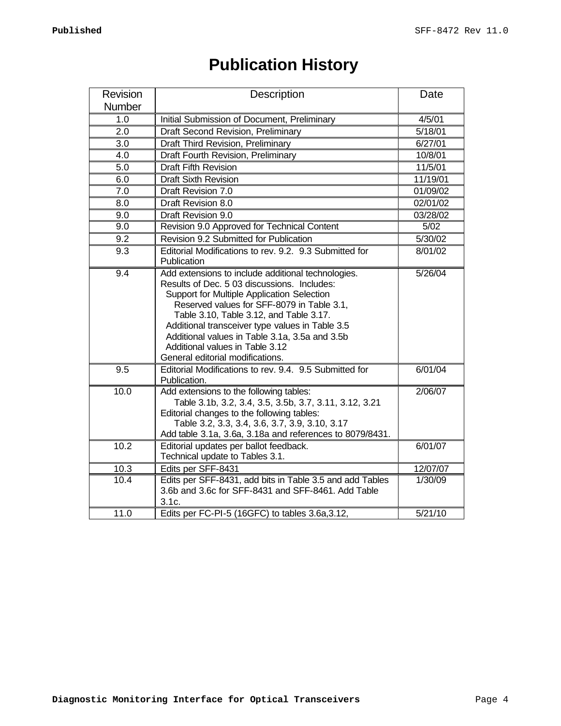| <b>Publication History</b> |  |
|----------------------------|--|
|----------------------------|--|

| Revision     | Description                                                                                                                                                                                                                                                                                                                                                                                                          | Date               |
|--------------|----------------------------------------------------------------------------------------------------------------------------------------------------------------------------------------------------------------------------------------------------------------------------------------------------------------------------------------------------------------------------------------------------------------------|--------------------|
| Number       |                                                                                                                                                                                                                                                                                                                                                                                                                      |                    |
| 1.0          | Initial Submission of Document, Preliminary                                                                                                                                                                                                                                                                                                                                                                          | 4/5/01             |
| 2.0          | Draft Second Revision, Preliminary                                                                                                                                                                                                                                                                                                                                                                                   | 5/18/01            |
| 3.0          | Draft Third Revision, Preliminary                                                                                                                                                                                                                                                                                                                                                                                    | 6/27/01            |
| 4.0          | Draft Fourth Revision, Preliminary                                                                                                                                                                                                                                                                                                                                                                                   | 10/8/01            |
| 5.0          | <b>Draft Fifth Revision</b>                                                                                                                                                                                                                                                                                                                                                                                          | 11/5/01            |
| 6.0          | <b>Draft Sixth Revision</b>                                                                                                                                                                                                                                                                                                                                                                                          | 11/19/01           |
| 7.0          | Draft Revision 7.0                                                                                                                                                                                                                                                                                                                                                                                                   | 01/09/02           |
| 8.0          | Draft Revision 8.0                                                                                                                                                                                                                                                                                                                                                                                                   | 02/01/02           |
| 9.0          | Draft Revision 9.0                                                                                                                                                                                                                                                                                                                                                                                                   | 03/28/02           |
| 9.0          | Revision 9.0 Approved for Technical Content                                                                                                                                                                                                                                                                                                                                                                          | 5/02               |
| 9.2          | Revision 9.2 Submitted for Publication                                                                                                                                                                                                                                                                                                                                                                               | 5/30/02            |
| 9.3          | Editorial Modifications to rev. 9.2. 9.3 Submitted for<br>Publication                                                                                                                                                                                                                                                                                                                                                | 8/01/02            |
| 9.4          | Add extensions to include additional technologies.<br>Results of Dec. 5 03 discussions. Includes:<br>Support for Multiple Application Selection<br>Reserved values for SFF-8079 in Table 3.1,<br>Table 3.10, Table 3.12, and Table 3.17.<br>Additional transceiver type values in Table 3.5<br>Additional values in Table 3.1a, 3.5a and 3.5b<br>Additional values in Table 3.12<br>General editorial modifications. | 5/26/04            |
| 9.5          | Editorial Modifications to rev. 9.4. 9.5 Submitted for<br>Publication.                                                                                                                                                                                                                                                                                                                                               | 6/01/04            |
| 10.0         | Add extensions to the following tables:<br>Table 3.1b, 3.2, 3.4, 3.5, 3.5b, 3.7, 3.11, 3.12, 3.21<br>Editorial changes to the following tables:<br>Table 3.2, 3.3, 3.4, 3.6, 3.7, 3.9, 3.10, 3.17<br>Add table 3.1a, 3.6a, 3.18a and references to 8079/8431.                                                                                                                                                        | 2/06/07            |
| 10.2         | Editorial updates per ballot feedback.<br>Technical update to Tables 3.1.                                                                                                                                                                                                                                                                                                                                            | 6/01/07            |
| 10.3         | Edits per SFF-8431                                                                                                                                                                                                                                                                                                                                                                                                   | 12/07/07           |
| 10.4<br>11.0 | Edits per SFF-8431, add bits in Table 3.5 and add Tables<br>3.6b and 3.6c for SFF-8431 and SFF-8461, Add Table<br>3.1c.                                                                                                                                                                                                                                                                                              | 1/30/09<br>5/21/10 |
|              | Edits per FC-PI-5 (16GFC) to tables 3.6a, 3.12,                                                                                                                                                                                                                                                                                                                                                                      |                    |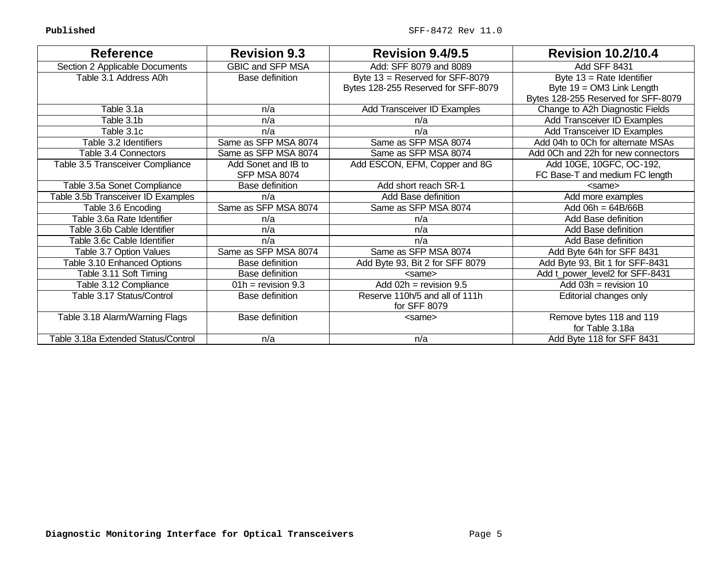| <b>Reference</b>                    | <b>Revision 9.3</b>    | <b>Revision 9.4/9.5</b>                                    | <b>Revision 10.2/10.4</b>           |
|-------------------------------------|------------------------|------------------------------------------------------------|-------------------------------------|
| Section 2 Applicable Documents      | GBIC and SFP MSA       | Add: SFF 8079 and 8089                                     | Add SFF 8431                        |
| Table 3.1 Address A0h               | Base definition        | Byte 13 = Reserved for SFF-8079                            | Byte $13$ = Rate Identifier         |
|                                     |                        | Bytes 128-255 Reserved for SFF-8079                        | Byte $19 = OM3$ Link Length         |
|                                     |                        |                                                            | Bytes 128-255 Reserved for SFF-8079 |
| Table 3.1a                          | n/a                    | Add Transceiver ID Examples                                | Change to A2h Diagnostic Fields     |
| Table 3.1b                          | n/a                    | n/a                                                        | Add Transceiver ID Examples         |
| Table 3.1c                          | n/a                    | n/a                                                        | Add Transceiver ID Examples         |
| Table 3.2 Identifiers               | Same as SFP MSA 8074   | Same as SFP MSA 8074                                       | Add 04h to 0Ch for alternate MSAs   |
| Table 3.4 Connectors                | Same as SFP MSA 8074   | Same as SFP MSA 8074                                       | Add 0Ch and 22h for new connectors  |
| Table 3.5 Transceiver Compliance    | Add Sonet and IB to    | Add ESCON, EFM, Copper and 8G                              | Add 10GE, 10GFC, OC-192,            |
|                                     | <b>SFP MSA 8074</b>    |                                                            | FC Base-T and medium FC length      |
| Table 3.5a Sonet Compliance         | Base definition        | Add short reach SR-1                                       | <same></same>                       |
| Table 3.5b Transceiver ID Examples  | n/a                    | <b>Add Base definition</b>                                 | Add more examples                   |
| Table 3.6 Encoding                  | Same as SFP MSA 8074   | Same as SFP MSA 8074                                       | Add $06h = 64B/66B$                 |
| Table 3.6a Rate Identifier          | n/a                    | n/a                                                        | Add Base definition                 |
| Table 3.6b Cable Identifier         | n/a                    | n/a                                                        | Add Base definition                 |
| Table 3.6c Cable Identifier         | n/a                    | n/a                                                        | Add Base definition                 |
| Table 3.7 Option Values             | Same as SFP MSA 8074   | Same as SFP MSA 8074                                       | Add Byte 64h for SFF 8431           |
| Table 3.10 Enhanced Options         | <b>Base definition</b> | Add Byte 93, Bit 2 for SFF 8079                            | Add Byte 93, Bit 1 for SFF-8431     |
| Table 3.11 Soft Timing              | Base definition        | <same></same>                                              | Add t_power_level2 for SFF-8431     |
| Table 3.12 Compliance               | $01h =$ revision 9.3   | $\overline{\text{Add } 02\text{h}} = \text{revision } 9.5$ | Add $03h =$ revision 10             |
| Table 3.17 Status/Control           | Base definition        | Reserve 110h/5 and all of 111h                             | Editorial changes only              |
|                                     |                        | for SFF 8079                                               |                                     |
| Table 3.18 Alarm/Warning Flags      | Base definition        | <same></same>                                              | Remove bytes 118 and 119            |
|                                     |                        |                                                            | for Table 3.18a                     |
| Table 3.18a Extended Status/Control | n/a                    | n/a                                                        | Add Byte 118 for SFF 8431           |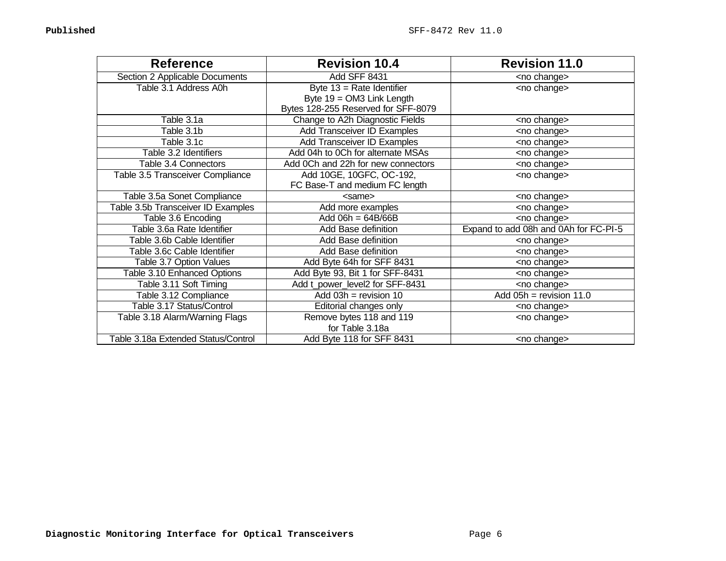| <b>Reference</b>                    | <b>Revision 10.4</b>                | <b>Revision 11.0</b>                  |
|-------------------------------------|-------------------------------------|---------------------------------------|
| Section 2 Applicable Documents      | Add SFF 8431                        | <no change=""></no>                   |
| Table 3.1 Address A0h               | Byte $13$ = Rate Identifier         | <no change=""></no>                   |
|                                     | Byte 19 = OM3 Link Length           |                                       |
|                                     | Bytes 128-255 Reserved for SFF-8079 |                                       |
| Table 3.1a                          | Change to A2h Diagnostic Fields     | <no change=""></no>                   |
| Table 3.1b                          | <b>Add Transceiver ID Examples</b>  | <no change=""></no>                   |
| Table 3.1c                          | <b>Add Transceiver ID Examples</b>  | <no change=""></no>                   |
| Table 3.2 Identifiers               | Add 04h to 0Ch for alternate MSAs   | <no change=""></no>                   |
| Table 3.4 Connectors                | Add 0Ch and 22h for new connectors  | <no change=""></no>                   |
| Table 3.5 Transceiver Compliance    | Add 10GE, 10GFC, OC-192,            | <no change=""></no>                   |
|                                     | FC Base-T and medium FC length      |                                       |
| Table 3.5a Sonet Compliance         | <same></same>                       | <no change=""></no>                   |
| Table 3.5b Transceiver ID Examples  | Add more examples                   | <no change=""></no>                   |
| Table 3.6 Encoding                  | Add $06h = 64B/66B$                 | <no change=""></no>                   |
| Table 3.6a Rate Identifier          | Add Base definition                 | Expand to add 08h and 0Ah for FC-PI-5 |
| Table 3.6b Cable Identifier         | Add Base definition                 | <no change=""></no>                   |
| Table 3.6c Cable Identifier         | Add Base definition                 | <no change=""></no>                   |
| Table 3.7 Option Values             | Add Byte 64h for SFF 8431           | <no change=""></no>                   |
| Table 3.10 Enhanced Options         | Add Byte 93, Bit 1 for SFF-8431     | <no change=""></no>                   |
| Table 3.11 Soft Timing              | Add t_power_level2 for SFF-8431     | <no change=""></no>                   |
| Table 3.12 Compliance               | Add $03h =$ revision 10             | Add $05h =$ revision 11.0             |
| Table 3.17 Status/Control           | Editorial changes only              | <no change=""></no>                   |
| Table 3.18 Alarm/Warning Flags      | Remove bytes 118 and 119            | <no change=""></no>                   |
|                                     | for Table 3.18a                     |                                       |
| Table 3.18a Extended Status/Control | Add Byte 118 for SFF 8431           | <no change=""></no>                   |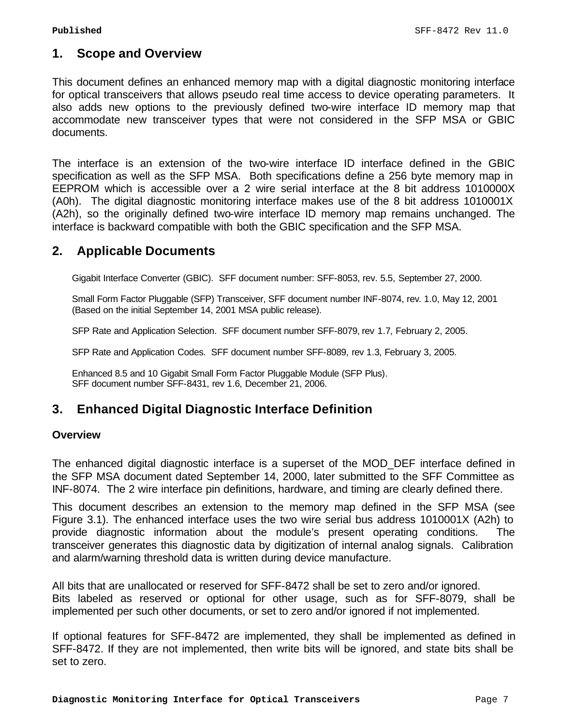# **1. Scope and Overview**

This document defines an enhanced memory map with a digital diagnostic monitoring interface for optical transceivers that allows pseudo real time access to device operating parameters. It also adds new options to the previously defined two-wire interface ID memory map that accommodate new transceiver types that were not considered in the SFP MSA or GBIC documents.

The interface is an extension of the two-wire interface ID interface defined in the GBIC specification as well as the SFP MSA. Both specifications define a 256 byte memory map in EEPROM which is accessible over a 2 wire serial interface at the 8 bit address 1010000X (A0h). The digital diagnostic monitoring interface makes use of the 8 bit address 1010001X (A2h), so the originally defined two-wire interface ID memory map remains unchanged. The interface is backward compatible with both the GBIC specification and the SFP MSA.

# **2. Applicable Documents**

Gigabit Interface Converter (GBIC). SFF document number: SFF-8053, rev. 5.5, September 27, 2000.

Small Form Factor Pluggable (SFP) Transceiver, SFF document number INF-8074, rev. 1.0, May 12, 2001 (Based on the initial September 14, 2001 MSA public release).

SFP Rate and Application Selection. SFF document number SFF-8079, rev 1.7, February 2, 2005.

SFP Rate and Application Codes. SFF document number SFF-8089, rev 1.3, February 3, 2005.

Enhanced 8.5 and 10 Gigabit Small Form Factor Pluggable Module (SFP Plus). SFF document number SFF-8431, rev 1.6, December 21, 2006.

# **3. Enhanced Digital Diagnostic Interface Definition**

#### **Overview**

The enhanced digital diagnostic interface is a superset of the MOD\_DEF interface defined in the SFP MSA document dated September 14, 2000, later submitted to the SFF Committee as INF-8074. The 2 wire interface pin definitions, hardware, and timing are clearly defined there.

This document describes an extension to the memory map defined in the SFP MSA (see Figure 3.1). The enhanced interface uses the two wire serial bus address 1010001X (A2h) to provide diagnostic information about the module's present operating conditions. The transceiver generates this diagnostic data by digitization of internal analog signals. Calibration and alarm/warning threshold data is written during device manufacture.

All bits that are unallocated or reserved for SFF-8472 shall be set to zero and/or ignored. Bits labeled as reserved or optional for other usage, such as for SFF-8079, shall be implemented per such other documents, or set to zero and/or ignored if not implemented.

If optional features for SFF-8472 are implemented, they shall be implemented as defined in SFF-8472. If they are not implemented, then write bits will be ignored, and state bits shall be set to zero.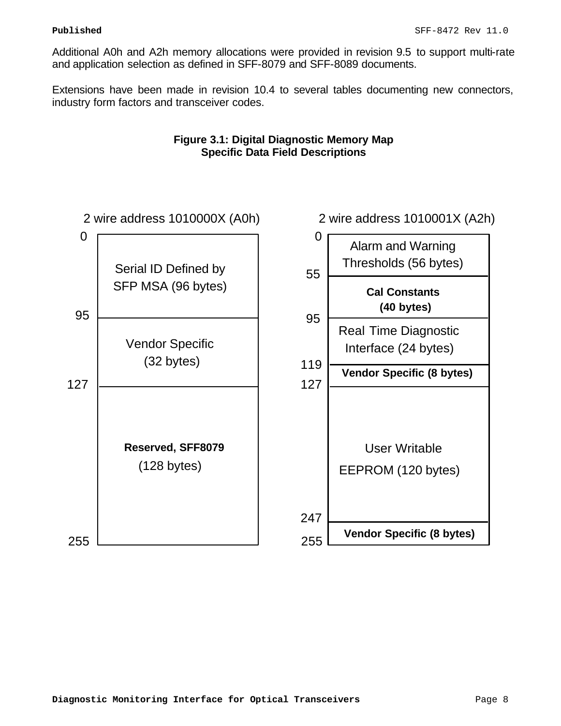Additional A0h and A2h memory allocations were provided in revision 9.5 to support multi-rate and application selection as defined in SFF-8079 and SFF-8089 documents.

Extensions have been made in revision 10.4 to several tables documenting new connectors, industry form factors and transceiver codes.



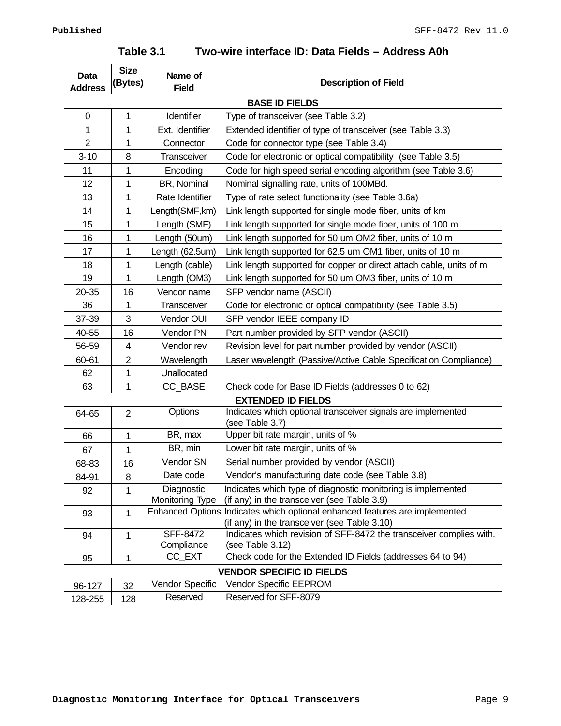# **Table 3.1 Two-wire interface ID: Data Fields – Address A0h**

| Data                  | <b>Size</b>    | Name of                                           |                                                                                                                     |  |  |  |  |
|-----------------------|----------------|---------------------------------------------------|---------------------------------------------------------------------------------------------------------------------|--|--|--|--|
| <b>Address</b>        | (Bytes)        | <b>Field</b>                                      | <b>Description of Field</b>                                                                                         |  |  |  |  |
| <b>BASE ID FIELDS</b> |                |                                                   |                                                                                                                     |  |  |  |  |
| $\mathbf 0$           | $\mathbf{1}$   | Identifier<br>Type of transceiver (see Table 3.2) |                                                                                                                     |  |  |  |  |
| 1                     | 1              | Ext. Identifier                                   | Extended identifier of type of transceiver (see Table 3.3)                                                          |  |  |  |  |
| $\overline{2}$        | 1              | Connector                                         | Code for connector type (see Table 3.4)                                                                             |  |  |  |  |
| $3 - 10$              | 8              | Transceiver                                       | Code for electronic or optical compatibility (see Table 3.5)                                                        |  |  |  |  |
| 11                    | 1              | Encoding                                          | Code for high speed serial encoding algorithm (see Table 3.6)                                                       |  |  |  |  |
| 12                    | 1              | BR, Nominal                                       | Nominal signalling rate, units of 100MBd.                                                                           |  |  |  |  |
| 13                    | 1              | Rate Identifier                                   | Type of rate select functionality (see Table 3.6a)                                                                  |  |  |  |  |
| 14                    | 1              | Length(SMF, km)                                   | Link length supported for single mode fiber, units of km                                                            |  |  |  |  |
| 15                    | 1              | Length (SMF)                                      | Link length supported for single mode fiber, units of 100 m                                                         |  |  |  |  |
| 16                    | 1              | Length (50um)                                     | Link length supported for 50 um OM2 fiber, units of 10 m                                                            |  |  |  |  |
| 17                    | 1              | Length (62.5um)                                   | Link length supported for 62.5 um OM1 fiber, units of 10 m                                                          |  |  |  |  |
| 18                    | 1              | Length (cable)                                    | Link length supported for copper or direct attach cable, units of m                                                 |  |  |  |  |
| 19                    | 1              | Length (OM3)                                      | Link length supported for 50 um OM3 fiber, units of 10 m                                                            |  |  |  |  |
| 20-35                 | 16             | Vendor name                                       | SFP vendor name (ASCII)                                                                                             |  |  |  |  |
| 36                    | 1              | Transceiver                                       | Code for electronic or optical compatibility (see Table 3.5)                                                        |  |  |  |  |
| 37-39                 | 3              | Vendor OUI                                        | SFP vendor IEEE company ID                                                                                          |  |  |  |  |
| 40-55                 | 16             | Vendor PN                                         | Part number provided by SFP vendor (ASCII)                                                                          |  |  |  |  |
| 56-59                 | 4              | Vendor rev                                        | Revision level for part number provided by vendor (ASCII)                                                           |  |  |  |  |
| 60-61                 | $\overline{2}$ | Wavelength                                        | Laser wavelength (Passive/Active Cable Specification Compliance)                                                    |  |  |  |  |
| 62                    | 1              | Unallocated                                       |                                                                                                                     |  |  |  |  |
| 63                    | 1              | CC_BASE                                           | Check code for Base ID Fields (addresses 0 to 62)                                                                   |  |  |  |  |
|                       |                |                                                   | <b>EXTENDED ID FIELDS</b>                                                                                           |  |  |  |  |
| 64-65                 | $\overline{2}$ | Options                                           | Indicates which optional transceiver signals are implemented<br>(see Table 3.7)                                     |  |  |  |  |
| 66                    | 1              | BR, max                                           | Upper bit rate margin, units of %                                                                                   |  |  |  |  |
| 67                    | 1              | BR, min                                           | Lower bit rate margin, units of %                                                                                   |  |  |  |  |
| 68-83                 | 16             | Vendor SN                                         | Serial number provided by vendor (ASCII)                                                                            |  |  |  |  |
| 84-91                 | 8              | Date code                                         | Vendor's manufacturing date code (see Table 3.8)                                                                    |  |  |  |  |
| 92                    | 1              | Diagnostic                                        | Indicates which type of diagnostic monitoring is implemented                                                        |  |  |  |  |
|                       |                | <b>Monitoring Type</b>                            | (if any) in the transceiver (see Table 3.9)                                                                         |  |  |  |  |
| 93                    | $\mathbf{1}$   |                                                   | Enhanced Options Indicates which optional enhanced features are implemented                                         |  |  |  |  |
| 94                    | 1              | <b>SFF-8472</b>                                   | (if any) in the transceiver (see Table 3.10)<br>Indicates which revision of SFF-8472 the transceiver complies with. |  |  |  |  |
|                       |                | Compliance                                        | (see Table 3.12)                                                                                                    |  |  |  |  |
| 95                    | 1              | CC_EXT                                            | Check code for the Extended ID Fields (addresses 64 to 94)                                                          |  |  |  |  |
|                       |                |                                                   | <b>VENDOR SPECIFIC ID FIELDS</b>                                                                                    |  |  |  |  |
| 96-127                | 32             | Vendor Specific                                   | Vendor Specific EEPROM                                                                                              |  |  |  |  |
| 128-255               | 128            | Reserved                                          | Reserved for SFF-8079                                                                                               |  |  |  |  |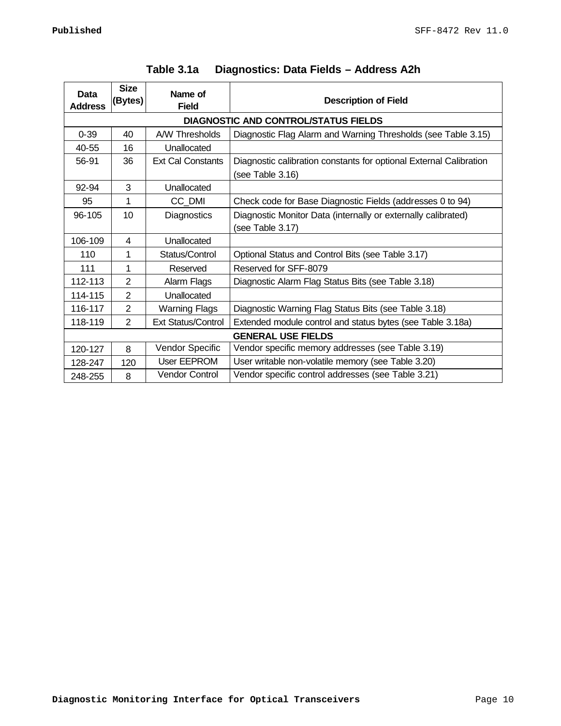| Data<br><b>Address</b> | <b>Size</b><br>(Bytes)                      | Name of<br><b>Field</b>                                                         | <b>Description of Field</b>                                                            |  |  |  |  |  |
|------------------------|---------------------------------------------|---------------------------------------------------------------------------------|----------------------------------------------------------------------------------------|--|--|--|--|--|
|                        | <b>DIAGNOSTIC AND CONTROL/STATUS FIELDS</b> |                                                                                 |                                                                                        |  |  |  |  |  |
| $0 - 39$               | 40                                          | A/W Thresholds<br>Diagnostic Flag Alarm and Warning Thresholds (see Table 3.15) |                                                                                        |  |  |  |  |  |
| 40-55                  | 16                                          | Unallocated                                                                     |                                                                                        |  |  |  |  |  |
| 56-91                  | 36                                          | <b>Ext Cal Constants</b>                                                        | Diagnostic calibration constants for optional External Calibration<br>(see Table 3.16) |  |  |  |  |  |
| 92-94                  | 3                                           | Unallocated                                                                     |                                                                                        |  |  |  |  |  |
| 95                     | 1                                           | CC_DMI                                                                          | Check code for Base Diagnostic Fields (addresses 0 to 94)                              |  |  |  |  |  |
| 96-105                 | 10                                          | <b>Diagnostics</b>                                                              | Diagnostic Monitor Data (internally or externally calibrated)<br>(see Table 3.17)      |  |  |  |  |  |
| 106-109                | 4                                           | Unallocated                                                                     |                                                                                        |  |  |  |  |  |
| 110                    | 1                                           | Status/Control                                                                  | Optional Status and Control Bits (see Table 3.17)                                      |  |  |  |  |  |
| 111                    | 1                                           | Reserved                                                                        | Reserved for SFF-8079                                                                  |  |  |  |  |  |
| 112-113                | $\overline{2}$                              | Alarm Flags                                                                     | Diagnostic Alarm Flag Status Bits (see Table 3.18)                                     |  |  |  |  |  |
| 114-115                | $\overline{2}$                              | Unallocated                                                                     |                                                                                        |  |  |  |  |  |
| 116-117                | $\overline{2}$                              | <b>Warning Flags</b>                                                            | Diagnostic Warning Flag Status Bits (see Table 3.18)                                   |  |  |  |  |  |
| 118-119                | $\overline{2}$                              | <b>Ext Status/Control</b>                                                       | Extended module control and status bytes (see Table 3.18a)                             |  |  |  |  |  |
|                        |                                             |                                                                                 | <b>GENERAL USE FIELDS</b>                                                              |  |  |  |  |  |
| 120-127                | 8                                           | Vendor Specific                                                                 | Vendor specific memory addresses (see Table 3.19)                                      |  |  |  |  |  |
| 128-247                | 120                                         | User EEPROM                                                                     | User writable non-volatile memory (see Table 3.20)                                     |  |  |  |  |  |
| 248-255                | 8                                           | <b>Vendor Control</b>                                                           | Vendor specific control addresses (see Table 3.21)                                     |  |  |  |  |  |

# **Table 3.1a Diagnostics: Data Fields – Address A2h**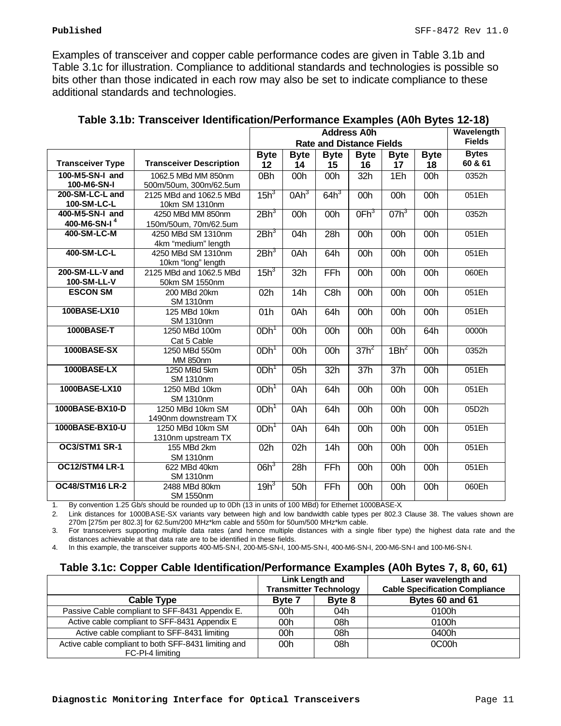Examples of transceiver and copper cable performance codes are given in Table 3.1b and Table 3.1c for illustration. Compliance to additional standards and technologies is possible so bits other than those indicated in each row may also be set to indicate compliance to these additional standards and technologies.

|                                                 |                                               | <b>Address A0h</b> |                                 |             |                  | Wavelength       |             |               |
|-------------------------------------------------|-----------------------------------------------|--------------------|---------------------------------|-------------|------------------|------------------|-------------|---------------|
|                                                 |                                               |                    | <b>Rate and Distance Fields</b> |             |                  |                  |             | <b>Fields</b> |
|                                                 |                                               | <b>Byte</b>        | <b>Byte</b>                     | <b>Byte</b> | <b>Byte</b>      | <b>Byte</b>      | <b>Byte</b> | <b>Bytes</b>  |
| <b>Transceiver Type</b>                         | <b>Transceiver Description</b>                | 12                 | 14                              | 15          | 16               | 17               | 18          | 60 & 61       |
| 100-M5-SN-I and<br>100-M6-SN-I                  | 1062.5 MBd MM 850nm<br>500m/50um, 300m/62.5um | 0Bh                | 00h                             | 00h         | 32h              | 1Eh              | 00h         | 0352h         |
| 200-SM-LC-L and<br>100-SM-LC-L                  | 2125 MBd and 1062.5 MBd<br>10km SM 1310nm     | 15h <sup>3</sup>   | 0Ah <sup>3</sup>                | $64h^3$     | 00h              | 00h              | 00h         | 051Eh         |
| 400-M5-SN-I and<br>400-M6-SN-I <sup>4</sup>     | 4250 MBd MM 850nm<br>150m/50um, 70m/62.5um    | 2Bh <sup>3</sup>   | 00h                             | 00h         | OFh <sup>3</sup> | $07h^3$          | 00h         | 0352h         |
| 400-SM-LC-M                                     | 4250 MBd SM 1310nm<br>4km "medium" length     | 2Bh <sup>3</sup>   | 04h                             | 28h         | 00h              | 00h              | 00h         | 051Eh         |
| 400-SM-LC-L                                     | 4250 MBd SM 1310nm<br>10km "long" length      | 2Bh <sup>3</sup>   | 0Ah                             | 64h         | 00h              | 00h              | 00h         | 051Eh         |
| 200-SM-LL-V and<br>100-SM-LL-V                  | 2125 MBd and 1062.5 MBd<br>50km SM 1550nm     | $15h^3$            | 32h                             | FFh         | 00h              | 00h              | 00h         | 060Eh         |
| <b>ESCON SM</b>                                 | 200 MBd 20km<br><b>SM 1310nm</b>              | 02h                | 14h                             | C8h         | 00h              | 00h              | 00h         | 051Eh         |
| 100BASE-LX10                                    | 125 MBd 10km<br><b>SM 1310nm</b>              |                    | 0Ah                             | 64h         | 00h              | 00h              | 00h         | 051Eh         |
| <b>1000BASE-T</b>                               | 1250 MBd 100m<br>Cat 5 Cable                  | ODh <sup>1</sup>   | 00h                             | 00h         | 00h              | 00h              | 64h         | 0000h         |
| 1000BASE-SX                                     | 1250 MBd 550m<br><b>MM 850nm</b>              |                    | 00h                             | 00h         | $37h^2$          | 1Bh <sup>2</sup> | 00h         | 0352h         |
| 1000BASE-LX<br>1250 MBd 5km<br><b>SM 1310nm</b> |                                               | ODh <sup>1</sup>   | 05h                             | 32h         | 37h              | 37h              | 00h         | 051Eh         |
| 1000BASE-LX10                                   | 1250 MBd 10km<br><b>SM 1310nm</b>             | ODh <sup>1</sup>   | 0Ah                             | 64h         | 00h              | 00h              | 00h         | 051Eh         |
| 1000BASE-BX10-D                                 | 1250 MBd 10km SM<br>1490nm downstream TX      | ODh <sup>1</sup>   | 0Ah                             | 64h         | 00h              | 00h              | 00h         | 05D2h         |
| 1000BASE-BX10-U                                 | 1250 MBd 10km SM<br>1310nm upstream TX        | ODh <sup>1</sup>   | 0Ah                             | 64h         | 00h              | 00h              | 00h         | 051Eh         |
| OC3/STM1 SR-1                                   | 155 MBd 2km<br><b>SM 1310nm</b>               |                    | 02h                             | 14h         | 00h              | 00h              | 00h         | 051Eh         |
| OC12/STM4 LR-1                                  | 622 MBd 40km<br><b>SM 1310nm</b>              | $06h^3$            | 28h                             | FFh         | 00h              | 00h              | 00h         | 051Eh         |
| <b>OC48/STM16 LR-2</b>                          | 2488 MBd 80km<br>SM 1550nm                    | $19h^3$            | 50h                             | FFh         | 00h              | 00h              | 00h         | 060Eh         |

1. By convention 1.25 Gb/s should be rounded up to 0Dh (13 in units of 100 MBd) for Ethernet 1000BASE-X.

2. Link distances for 1000BASE-SX variants vary between high and low bandwidth cable types per 802.3 Clause 38. The values shown are 270m [275m per 802.3] for 62.5um/200 MHz\*km cable and 550m for 50um/500 MHz\*km cable.

3. For transceivers supporting multiple data rates (and hence multiple distances with a single fiber type) the highest data rate and the distances achievable at that data rate are to be identified in these fields.

4. In this example, the transceiver supports 400-M5-SN-I, 200-M5-SN-I, 100-M5-SN-I, 400-M6-SN-I, 200-M6-SN-I and 100-M6-SN-I.

# **Table 3.1c: Copper Cable Identification/Performance Examples (A0h Bytes 7, 8, 60, 61)**

|                                                                          | Link Length and               |        | Laser wavelength and                  |
|--------------------------------------------------------------------------|-------------------------------|--------|---------------------------------------|
|                                                                          | <b>Transmitter Technology</b> |        | <b>Cable Specification Compliance</b> |
| <b>Cable Type</b>                                                        | <b>Byte 7</b>                 | Byte 8 | Bytes 60 and 61                       |
| Passive Cable compliant to SFF-8431 Appendix E.                          | 00h                           | 04h    | 0100h                                 |
| Active cable compliant to SFF-8431 Appendix E                            | 00h                           | 08h    | 0100h                                 |
| Active cable compliant to SFF-8431 limiting                              | 00h                           | 08h    | 0400h                                 |
| Active cable compliant to both SFF-8431 limiting and<br>FC-PI-4 limiting | 00h                           | 08h    | 0C00h                                 |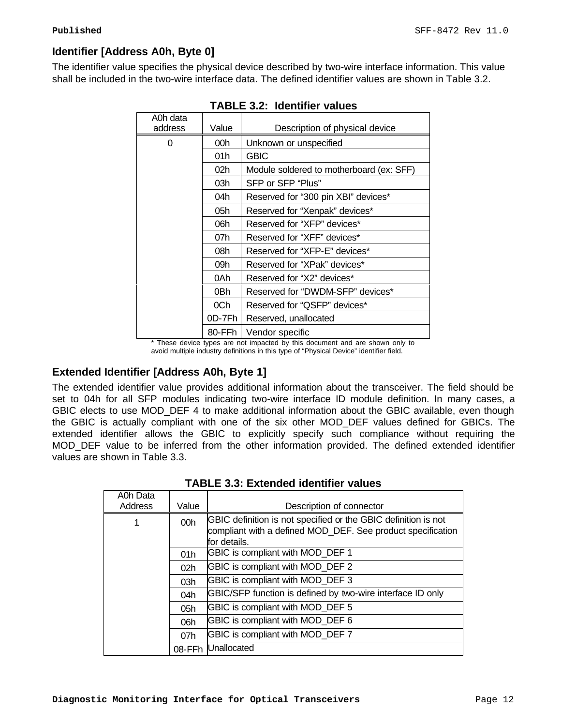# **Identifier [Address A0h, Byte 0]**

The identifier value specifies the physical device described by two-wire interface information. This value shall be included in the two-wire interface data. The defined identifier values are shown in Table 3.2.

| A0h data |                                         |                                          |  |  |
|----------|-----------------------------------------|------------------------------------------|--|--|
| address  | Value<br>Description of physical device |                                          |  |  |
| 0        | 00h                                     | Unknown or unspecified                   |  |  |
|          | 01h                                     | <b>GBIC</b>                              |  |  |
|          | 02 <sub>h</sub>                         | Module soldered to motherboard (ex: SFF) |  |  |
|          | 03h                                     | SFP or SFP "Plus"                        |  |  |
|          | 04h                                     | Reserved for "300 pin XBI" devices*      |  |  |
|          | 05h                                     | Reserved for "Xenpak" devices*           |  |  |
|          | 06h                                     | Reserved for "XFP" devices*              |  |  |
|          | 07h                                     | Reserved for "XFF" devices*              |  |  |
|          | 08h                                     | Reserved for "XFP-E" devices*            |  |  |
|          | 09h                                     | Reserved for "XPak" devices*             |  |  |
|          | 0Ah                                     | Reserved for "X2" devices*               |  |  |
|          | 0Bh                                     | Reserved for "DWDM-SFP" devices*         |  |  |
|          | 0Ch                                     | Reserved for "QSFP" devices*             |  |  |
|          | 0D-7Fh                                  | Reserved, unallocated                    |  |  |
|          | 80-FFh                                  | Vendor specific                          |  |  |

| <b>TABLE 3.2: Identifier values</b> |  |  |
|-------------------------------------|--|--|
|-------------------------------------|--|--|

\* These device types are not impacted by this document and are shown only to avoid multiple industry definitions in this type of "Physical Device" identifier field.

# **Extended Identifier [Address A0h, Byte 1]**

The extended identifier value provides additional information about the transceiver. The field should be set to 04h for all SFP modules indicating two-wire interface ID module definition. In many cases, a GBIC elects to use MOD\_DEF 4 to make additional information about the GBIC available, even though the GBIC is actually compliant with one of the six other MOD\_DEF values defined for GBICs. The extended identifier allows the GBIC to explicitly specify such compliance without requiring the MOD DEF value to be inferred from the other information provided. The defined extended identifier values are shown in Table 3.3.

| A0h Data<br>Address | Value           | Description of connector                                                                                                                      |
|---------------------|-----------------|-----------------------------------------------------------------------------------------------------------------------------------------------|
| 1                   | 00h             | GBIC definition is not specified or the GBIC definition is not<br>compliant with a defined MOD_DEF. See product specification<br>for details. |
|                     | 01h             | GBIC is compliant with MOD DEF 1                                                                                                              |
|                     | 02 <sub>h</sub> | GBIC is compliant with MOD_DEF 2                                                                                                              |
|                     | 03h             | GBIC is compliant with MOD_DEF 3                                                                                                              |
|                     | 04h             | GBIC/SFP function is defined by two-wire interface ID only                                                                                    |
|                     | 05h             | GBIC is compliant with MOD_DEF 5                                                                                                              |
|                     | 06h             | GBIC is compliant with MOD_DEF 6                                                                                                              |
|                     | 07h             | GBIC is compliant with MOD_DEF 7                                                                                                              |
|                     | 08-FFh          | Unallocated                                                                                                                                   |

**TABLE 3.3: Extended identifier values**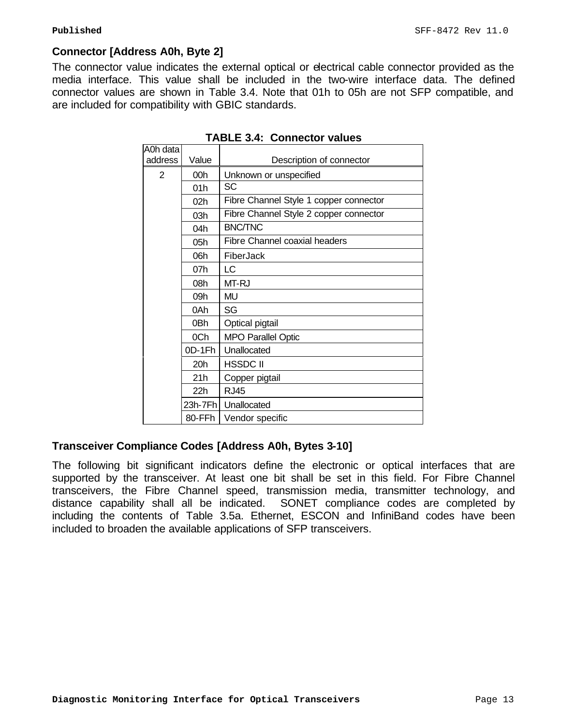# **Connector [Address A0h, Byte 2]**

The connector value indicates the external optical or electrical cable connector provided as the media interface. This value shall be included in the two-wire interface data. The defined connector values are shown in Table 3.4. Note that 01h to 05h are not SFP compatible, and are included for compatibility with GBIC standards.

|         | Description of connector               |
|---------|----------------------------------------|
| 00h     | Unknown or unspecified                 |
| 01h     | SC                                     |
| 02h     | Fibre Channel Style 1 copper connector |
| 03h     | Fibre Channel Style 2 copper connector |
| 04h     | <b>BNC/TNC</b>                         |
| 05h     | Fibre Channel coaxial headers          |
| 06h     | FiberJack                              |
| 07h     | LC                                     |
| 08h     | MT-RJ                                  |
| 09h     | MU                                     |
| 0Ah     | SG                                     |
| 0Bh     | Optical pigtail                        |
| 0Ch     | <b>MPO Parallel Optic</b>              |
| 0D-1Fh  | Unallocated                            |
| 20h     | <b>HSSDC II</b>                        |
| 21h     | Copper pigtail                         |
| 22h     | <b>RJ45</b>                            |
| 23h-7Fh | Unallocated                            |
| 80-FFh  | Vendor specific                        |
|         | Value                                  |

**TABLE 3.4: Connector values**

# **Transceiver Compliance Codes [Address A0h, Bytes 3-10]**

The following bit significant indicators define the electronic or optical interfaces that are supported by the transceiver. At least one bit shall be set in this field. For Fibre Channel transceivers, the Fibre Channel speed, transmission media, transmitter technology, and distance capability shall all be indicated. SONET compliance codes are completed by including the contents of Table 3.5a. Ethernet, ESCON and InfiniBand codes have been included to broaden the available applications of SFP transceivers.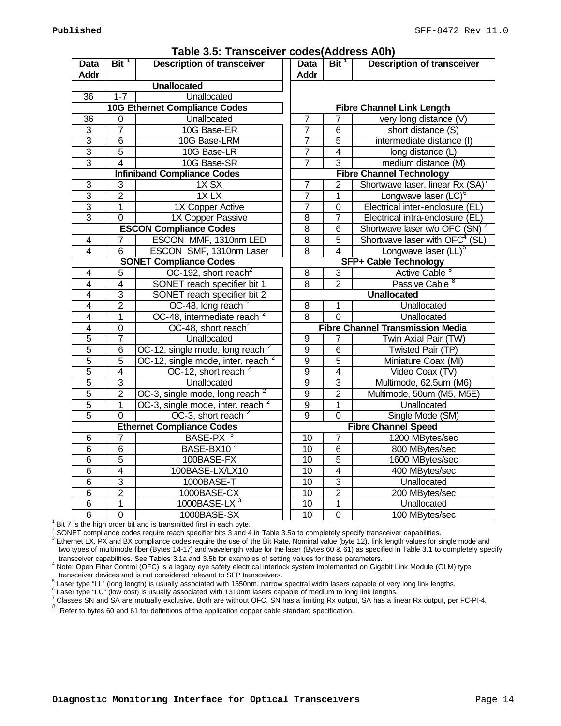|                            |                  |                                               |                            | Bit <sup>1</sup>                  | , , , , , ,                                |
|----------------------------|------------------|-----------------------------------------------|----------------------------|-----------------------------------|--------------------------------------------|
| <b>Data</b><br><b>Addr</b> | Bit <sup>1</sup> | <b>Description of transceiver</b>             | <b>Data</b><br><b>Addr</b> | <b>Description of transceiver</b> |                                            |
|                            |                  | <b>Unallocated</b>                            |                            |                                   |                                            |
| $\overline{36}$            | $1 - 7$          | Unallocated                                   |                            |                                   |                                            |
|                            |                  | <b>10G Ethernet Compliance Codes</b>          |                            |                                   | <b>Fibre Channel Link Length</b>           |
| 36                         | $\mathbf 0$      | Unallocated                                   | $\overline{7}$             | 7                                 | very long distance (V)                     |
| $\overline{3}$             | $\overline{7}$   | 10G Base-ER                                   | $\overline{7}$             | $\overline{6}$                    | short distance (S)                         |
| $\overline{3}$             | $\overline{6}$   | 10G Base-LRM                                  | $\overline{7}$             | 5                                 | intermediate distance (I)                  |
| $\overline{3}$             | $\overline{5}$   | 10G Base-LR                                   | 7                          | $\overline{4}$                    | long distance (L)                          |
| $\overline{3}$             | $\overline{4}$   | 10G Base-SR                                   | 7                          | $\overline{3}$                    | medium distance (M)                        |
|                            |                  | <b>Infiniband Compliance Codes</b>            |                            |                                   | <b>Fibre Channel Technology</b>            |
| $\overline{3}$             | 3                | $1X$ SX                                       | $\overline{7}$             | $\overline{2}$                    | Shortwave laser, linear Rx (SA)            |
| $\overline{3}$             | $\overline{2}$   | $1X$ LX                                       | $\overline{7}$             | $\overline{1}$                    | Longwave laser (LC) <sup>6</sup>           |
| $\overline{3}$             | $\mathbf{1}$     | 1X Copper Active                              | $\overline{7}$             | $\mathbf 0$                       | Electrical inter-enclosure (EL)            |
| $\overline{3}$             | $\mathbf 0$      | 1X Copper Passive                             | $\overline{8}$             | $\overline{7}$                    | Electrical intra-enclosure (EL)            |
|                            |                  | <b>ESCON Compliance Codes</b>                 | $\overline{8}$             | 6                                 | Shortwave laser w/o OFC (SN)               |
| $\overline{4}$             | $\overline{7}$   | ESCON MMF, 1310nm LED                         | $\overline{8}$             | $\overline{5}$                    | Shortwave laser with OFC <sup>4</sup> (SL) |
| $\overline{4}$             | $\overline{6}$   | ESCON SMF, 1310nm Laser                       | $\overline{8}$             | $\overline{4}$                    | Longwave laser (LL) <sup>5</sup>           |
|                            |                  | <b>SONET Compliance Codes</b>                 |                            |                                   | <b>SFP+ Cable Technology</b>               |
| $\overline{4}$             | 5                | OC-192, short reach <sup>2</sup>              | $\overline{8}$             | $\overline{3}$                    | Active Cable <sup>8</sup>                  |
| $\overline{4}$             | 4                | SONET reach specifier bit 1                   | $\overline{8}$             | $\overline{2}$                    | Passive Cable <sup>8</sup>                 |
| $\overline{4}$             | $\overline{3}$   | SONET reach specifier bit 2                   | <b>Unallocated</b>         |                                   |                                            |
| $\overline{4}$             | $\overline{2}$   | OC-48, long reach <sup>2</sup>                | 8                          | 1                                 | Unallocated                                |
| $\overline{4}$             | 1                | OC-48, intermediate reach <sup>2</sup>        | $\overline{8}$             | $\overline{0}$                    | Unallocated                                |
| $\overline{4}$             | $\mathbf 0$      | OC-48, short reach <sup>2</sup>               |                            |                                   | <b>Fibre Channel Transmission Media</b>    |
| $\overline{5}$             | $\overline{7}$   | Unallocated                                   | 9                          | $\overline{7}$                    | Twin Axial Pair (TW)                       |
| 5                          | 6                | OC-12, single mode, long reach $2$            | 9                          | $\overline{6}$                    | Twisted Pair (TP)                          |
| 5                          | $\overline{5}$   | OC-12, single mode, inter. reach <sup>2</sup> | $\overline{9}$             | $\overline{5}$                    | Miniature Coax (MI)                        |
| 5                          | $\overline{4}$   | OC-12, short reach <sup>2</sup>               | $\overline{9}$             | $\overline{4}$                    | Video Coax (TV)                            |
| $\overline{5}$             | 3                | Unallocated                                   | $\overline{9}$             | $\overline{3}$                    | Multimode, 62.5um (M6)                     |
| $\overline{5}$             | $\overline{2}$   | OC-3, single mode, long reach $2$             | $\overline{9}$             | $\overline{2}$                    | Multimode, 50um (M5, M5E)                  |
| 5                          | $\mathbf{1}$     | OC-3, single mode, inter. reach <sup>2</sup>  | $\overline{9}$             | 1                                 | Unallocated                                |
| $\overline{5}$             | $\mathbf 0$      | OC-3, short reach $2$                         | $\overline{9}$             | $\mathbf 0$                       | Single Mode (SM)                           |
|                            |                  | <b>Ethernet Compliance Codes</b>              |                            |                                   | <b>Fibre Channel Speed</b>                 |
| $\overline{6}$             | $\overline{7}$   | BASE-PX <sup>3</sup>                          | 10                         | $\overline{7}$                    | 1200 MBytes/sec                            |
| 6                          | 6                | BASE-BX10 <sup>3</sup>                        | 10                         | $\overline{6}$                    | 800 MBytes/sec                             |
| $\overline{6}$             | $\overline{5}$   | 100BASE-FX                                    | 10                         | $\overline{5}$                    | 1600 MBytes/sec                            |
| $\overline{6}$             | $\overline{4}$   | 100BASE-LX/LX10                               | $\overline{10}$            | $\overline{4}$                    | 400 MBytes/sec                             |
| $\overline{6}$             | $\overline{3}$   | 1000BASE-T                                    | 10                         | $\overline{3}$                    | Unallocated                                |
| $\overline{6}$             | $\overline{2}$   | 1000BASE-CX                                   | 10                         | $\overline{2}$                    | 200 MBytes/sec                             |
| $\overline{6}$             | 1                | 1000BASE-LX $3$                               | 10                         | 1                                 | Unallocated                                |
| $\overline{6}$             | $\overline{0}$   | 1000BASE-SX                                   | 10                         | $\overline{0}$                    | 100 MBytes/sec                             |

#### **Table 3.5: Transceiver codes(Address A0h)**

Bit 7 is the high order bit and is transmitted first in each byte.

<sup>2</sup> SONET compliance codes require reach specifier bits 3 and 4 in Table 3.5a to completely specify transceiver capabilities.

 $^3$  Ethernet LX, PX and BX compliance codes require the use of the Bit Rate, Nominal value (byte 12), link length values for single mode and two types of multimode fiber (Bytes 14-17) and wavelength value for the laser (Bytes 60 & 61) as specified in Table 3.1 to completely specify transceiver capabilities. See Tables 3.1a and 3.5b for examples of setting values for these parameters.

<sup>4</sup> Note: Open Fiber Control (OFC) is a legacy eye safety electrical interlock system implemented on Gigabit Link Module (GLM) type transceiver devices and is not considered relevant to SFP transceivers.

 $^5$  Laser type "LL" (long length) is usually associated with 1550nm, narrow spectral width lasers capable of very long link lengths.

Laser type "LC" (low cost) is usually associated with 1310nm lasers capable of medium to long link lengths.

 $^7$  Classes SN and SA are mutually exclusive. Both are without OFC. SN has a limiting Rx output, SA has a linear Rx output, per FC-PI-4.

<sup>8</sup> Refer to bytes 60 and 61 for definitions of the application copper cable standard specification.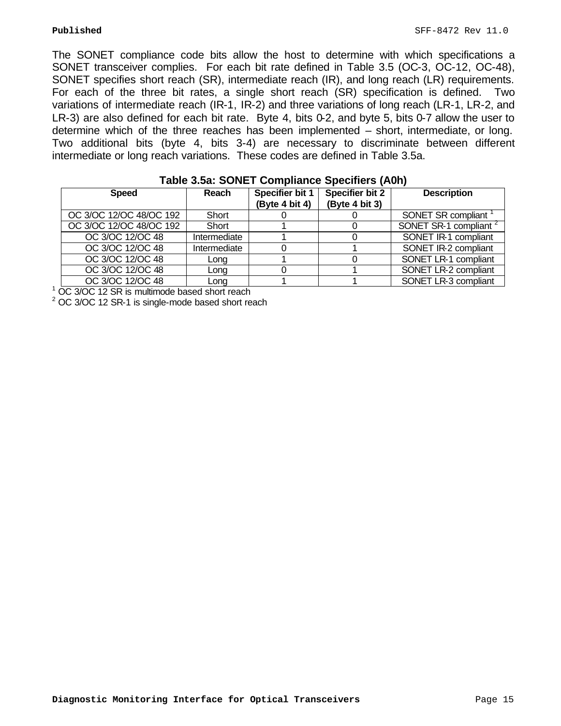The SONET compliance code bits allow the host to determine with which specifications a SONET transceiver complies. For each bit rate defined in Table 3.5 (OC-3, OC-12, OC-48), SONET specifies short reach (SR), intermediate reach (IR), and long reach (LR) requirements. For each of the three bit rates, a single short reach (SR) specification is defined. Two variations of intermediate reach (IR-1, IR-2) and three variations of long reach (LR-1, LR-2, and LR-3) are also defined for each bit rate. Byte 4, bits 0-2, and byte 5, bits 0-7 allow the user to determine which of the three reaches has been implemented – short, intermediate, or long. Two additional bits (byte 4, bits 3-4) are necessary to discriminate between different intermediate or long reach variations. These codes are defined in Table 3.5a.

| <b>Speed</b>            | Reach        | <b>Specifier bit 1</b><br>(Byte 4 bit 4) | <b>Specifier bit 2</b><br>(Byte 4 bit 3) | <b>Description</b>                |
|-------------------------|--------------|------------------------------------------|------------------------------------------|-----------------------------------|
| OC 3/OC 12/OC 48/OC 192 | Short        |                                          |                                          | SONET SR compliant                |
| OC 3/OC 12/OC 48/OC 192 | Short        |                                          |                                          | SONET SR-1 compliant <sup>2</sup> |
| OC 3/OC 12/OC 48        | Intermediate |                                          |                                          | SONET IR-1 compliant              |
| OC 3/OC 12/OC 48        | Intermediate |                                          |                                          | SONET IR-2 compliant              |
| OC 3/OC 12/OC 48        | Long         |                                          |                                          | SONET LR-1 compliant              |
| OC 3/OC 12/OC 48        | Long         |                                          |                                          | SONET LR-2 compliant              |
| OC 3/OC 12/OC 48        | Lona         |                                          |                                          | SONET LR-3 compliant              |

| Table 3.5a: SONET Compliance Specifiers (A0h) |  |  |
|-----------------------------------------------|--|--|
|                                               |  |  |

<sup>1</sup> OC 3/OC 12 SR is multimode based short reach

 $2^2$  OC 3/OC 12 SR-1 is single-mode based short reach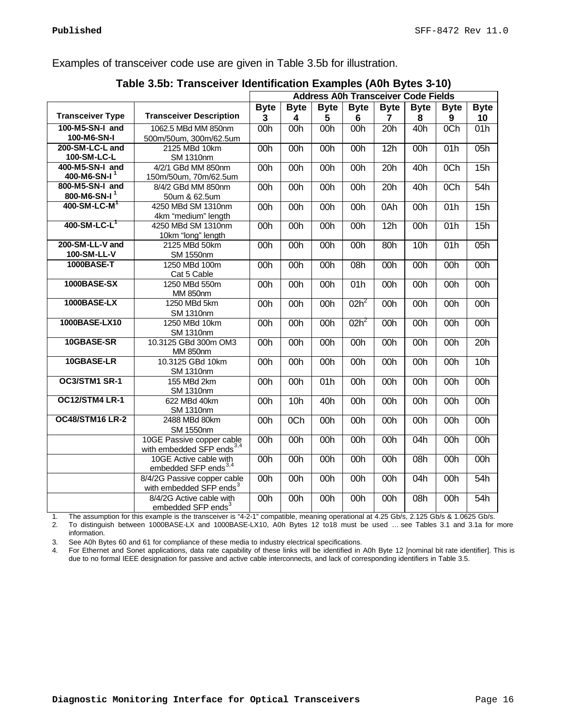Examples of transceiver code use are given in Table 3.5b for illustration.

|                            |                                                                    | $\cdot$<br><b>Address A0h Transceiver Code Fields</b> |                  |                  |             |             |                   |                  |                 |
|----------------------------|--------------------------------------------------------------------|-------------------------------------------------------|------------------|------------------|-------------|-------------|-------------------|------------------|-----------------|
|                            |                                                                    | <b>Byte</b>                                           | <b>Byte</b>      | <b>Byte</b>      | <b>Byte</b> | <b>Byte</b> | <b>Byte</b>       | <b>Byte</b>      | <b>Byte</b>     |
| <b>Transceiver Type</b>    | <b>Transceiver Description</b>                                     | 3                                                     | 4                | 5                | 6           | 7           | 8                 | 9                | 10              |
| 100-M5-SN-I and            | 1062.5 MBd MM 850nm                                                | 00h                                                   | 00h              | 00h              | 00h         | 20h         | 40h               | 0Ch              | 01h             |
| 100-M6-SN-I                | 500m/50um, 300m/62.5um                                             |                                                       |                  |                  |             |             |                   |                  |                 |
| 200-SM-LC-L and            | 2125 MBd 10km                                                      | 00h                                                   | 00h              | 00h              | 00h         | 12h         | 00h               | 01h              | 05h             |
| 100-SM-LC-L                | <b>SM 1310nm</b>                                                   |                                                       |                  |                  |             |             |                   |                  |                 |
| 400-M5-SN-I and            | 4/2/1 GBd MM 850nm                                                 | 00h                                                   | 00h              | 00h              | 00h         | 20h         | 40h               | $\overline{OCh}$ | 15h             |
| 400-M6-SN-I <sup>1</sup>   | 150m/50um, 70m/62.5um                                              |                                                       |                  |                  |             |             |                   |                  |                 |
| 800-M5-SN-I and            | 8/4/2 GBd MM 850nm                                                 | 00h                                                   | 00h              | 00h              | 00h         | 20h         | 40h               | 0 <sub>Ch</sub>  | 54h             |
| 800-M6-SN-I <sup>1</sup>   | 50um & 62.5um                                                      |                                                       |                  |                  |             |             |                   |                  |                 |
| $400-SM-LC-M$ <sup>1</sup> | 4250 MBd SM 1310nm                                                 | 00h                                                   | 00h              | 00h              | 00h         | 0Ah         | 00h               | 01h              | 15h             |
| $400-SM-LC-L$              | 4km "medium" length                                                |                                                       |                  |                  |             |             |                   |                  |                 |
|                            | 4250 MBd SM 1310nm                                                 | 00h                                                   | 00h              | 00h              | 00h         | 12h         | 00h               | 01h              | 15h             |
| 200-SM-LL-V and            | 10km "long" length<br>2125 MBd 50km                                | 00h                                                   | 00h              | 00h              | 00h         | 80h         | 10h               | 01h              | 05h             |
| 100-SM-LL-V                | <b>SM 1550nm</b>                                                   |                                                       |                  |                  |             |             |                   |                  |                 |
| 1000BASE-T                 | 1250 MBd 100m                                                      | 00h                                                   | 00h              | 00h              | 08h         | 00h         | 00h               | 00h              | 00h             |
|                            | Cat 5 Cable                                                        |                                                       |                  |                  |             |             |                   |                  |                 |
| 1000BASE-SX                | 1250 MBd 550m                                                      | 00h                                                   | 00h              | 00h              | 01h         | 00h         | $\overline{00h}$  | 00h              | 00h             |
|                            | MM 850nm                                                           |                                                       |                  |                  |             |             |                   |                  |                 |
| 1000BASE-LX                | 1250 MBd 5km                                                       | 00h                                                   | 00h              | 00h              | $02h^2$     | 00h         | $\overline{00}$ h | 00h              | 00h             |
|                            | <b>SM 1310nm</b>                                                   |                                                       |                  |                  |             |             |                   |                  |                 |
| 1000BASE-LX10              | 1250 MBd 10km                                                      | 00h                                                   | 00h              | 00h              | $02h^2$     | 00h         | 00h               | 00h              | 00h             |
|                            | <b>SM 1310nm</b>                                                   |                                                       |                  |                  |             |             |                   |                  |                 |
| 10GBASE-SR                 | 10.3125 GBd 300m OM3                                               | 00h                                                   | 00h              | 00h              | 00h         | 00h         | 00h               | 00h              | 20h             |
|                            | <b>MM 850nm</b>                                                    |                                                       |                  |                  |             |             |                   |                  |                 |
| 10GBASE-LR                 | 10.3125 GBd 10km                                                   | 00h                                                   | 00h              | 00h              | 00h         | 00h         | 00h               | 00h              | 10 <sub>h</sub> |
|                            | SM 1310nm                                                          |                                                       |                  |                  |             |             |                   |                  |                 |
| OC3/STM1 SR-1              | 155 MBd 2km                                                        | 00h                                                   | 00h              | $\overline{01h}$ | 00h         | 00h         | 00h               | 00h              | 00h             |
|                            | <b>SM 1310nm</b>                                                   |                                                       |                  |                  |             |             |                   |                  |                 |
| OC12/STM4 LR-1             | 622 MBd 40km                                                       | 00h                                                   | 10h              | 40h              | 00h         | 00h         | 00h               | 00h              | 00h             |
|                            | <b>SM 1310nm</b>                                                   |                                                       |                  |                  |             |             |                   |                  |                 |
| <b>OC48/STM16 LR-2</b>     | 2488 MBd 80km                                                      | 00h                                                   | $\overline{OCh}$ | 00h              | 00h         | 00h         | 00h               | 00h              | 00h             |
|                            | <b>SM 1550nm</b>                                                   |                                                       |                  |                  |             |             |                   |                  |                 |
|                            | 10GE Passive copper cable<br>with embedded SFP ends <sup>3,4</sup> | 00h                                                   | 00h              | 00h              | 00h         | 00h         | $\overline{0}$ 4h | 00h              | 00h             |
|                            | 10GE Active cable with                                             | 00h                                                   | 00h              | 00h              | 00h         | 00h         | 08h               | 00h              | 00h             |
|                            | embedded SFP ends <sup>3,4</sup>                                   |                                                       |                  |                  |             |             |                   |                  |                 |
|                            | 8/4/2G Passive copper cable                                        | 00h                                                   | 00h              | 00h              | 00h         | 00h         | 04h               | 00h              | 54h             |
|                            | with embedded SFP ends <sup>3</sup>                                |                                                       |                  |                  |             |             |                   |                  |                 |
|                            | 8/4/2G Active cable with                                           | 00h                                                   | 00h              | 00h              | 00h         | 00h         | $\overline{08}h$  | 00h              | 54h             |
|                            | embedded SFP ends <sup>3</sup>                                     |                                                       |                  |                  |             |             |                   |                  |                 |

#### **Table 3.5b: Transceiver Identification Examples (A0h Bytes 3-10)**

1. The assumption for this example is the transceiver is "4-2-1" compatible, meaning operational at 4.25 Gb/s, 2.125 Gb/s & 1.0625 Gb/s. 2. To distinguish between 1000BASE-LX and 1000BASE-LX10, A0h Bytes 12 to18 must be used … see Tables 3.1 and 3.1a for more information.

3. See A0h Bytes 60 and 61 for compliance of these media to industry electrical specifications.

4. For Ethernet and Sonet applications, data rate capability of these links will be identified in A0h Byte 12 [nominal bit rate identifier]. This is due to no formal IEEE designation for passive and active cable interconnects, and lack of corresponding identifiers in Table 3.5.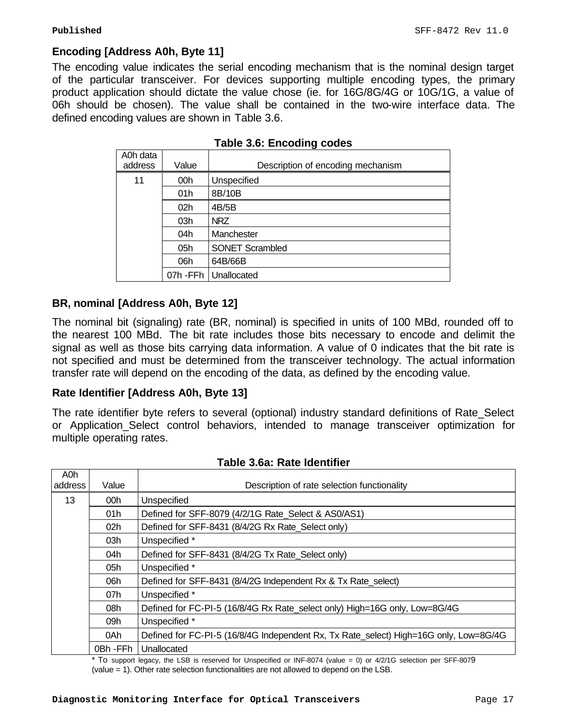# **Encoding [Address A0h, Byte 11]**

The encoding value indicates the serial encoding mechanism that is the nominal design target of the particular transceiver. For devices supporting multiple encoding types, the primary product application should dictate the value chose (ie. for 16G/8G/4G or 10G/1G, a value of 06h should be chosen). The value shall be contained in the two-wire interface data. The defined encoding values are shown in Table 3.6.

| A0h data<br>address | Value           | Description of encoding mechanism |
|---------------------|-----------------|-----------------------------------|
| 11                  | 00h             | Unspecified                       |
|                     | 01h             | 8B/10B                            |
|                     | 02 <sub>h</sub> | 4B/5B                             |
|                     | 03h             | <b>NRZ</b>                        |
|                     | 04h             | Manchester                        |
|                     | 05h             | <b>SONET Scrambled</b>            |
|                     | 06h             | 64B/66B                           |
|                     |                 | 07h - FFh   Unallocated           |

|  |  | <b>Table 3.6: Encoding codes</b> |  |
|--|--|----------------------------------|--|
|--|--|----------------------------------|--|

# **BR, nominal [Address A0h, Byte 12]**

The nominal bit (signaling) rate (BR, nominal) is specified in units of 100 MBd, rounded off to the nearest 100 MBd. The bit rate includes those bits necessary to encode and delimit the signal as well as those bits carrying data information. A value of 0 indicates that the bit rate is not specified and must be determined from the transceiver technology. The actual information transfer rate will depend on the encoding of the data, as defined by the encoding value.

# **Rate Identifier [Address A0h, Byte 13]**

The rate identifier byte refers to several (optional) industry standard definitions of Rate\_Select or Application Select control behaviors, intended to manage transceiver optimization for multiple operating rates.

| A0h     |                 |                                                                                       |  |  |  |  |
|---------|-----------------|---------------------------------------------------------------------------------------|--|--|--|--|
| address | Value           | Description of rate selection functionality                                           |  |  |  |  |
| 13      | 00h             | Unspecified                                                                           |  |  |  |  |
|         | 01h             | Defined for SFF-8079 (4/2/1G Rate Select & AS0/AS1)                                   |  |  |  |  |
|         | 02 <sub>h</sub> | Defined for SFF-8431 (8/4/2G Rx Rate Select only)                                     |  |  |  |  |
|         | 03h             | Unspecified *                                                                         |  |  |  |  |
|         | 04h             | Defined for SFF-8431 (8/4/2G Tx Rate Select only)                                     |  |  |  |  |
|         | 05h             | Unspecified *                                                                         |  |  |  |  |
|         | 06h             | Defined for SFF-8431 (8/4/2G Independent Rx & Tx Rate_select)                         |  |  |  |  |
|         | 07h             | Unspecified *                                                                         |  |  |  |  |
|         | 08h             | Defined for FC-PI-5 (16/8/4G Rx Rate_select only) High=16G only, Low=8G/4G            |  |  |  |  |
|         | 09h             | Unspecified *                                                                         |  |  |  |  |
|         | 0Ah             | Defined for FC-PI-5 (16/8/4G Independent Rx, Tx Rate select) High=16G only, Low=8G/4G |  |  |  |  |
|         | 0Bh - FFh       | Unallocated                                                                           |  |  |  |  |

#### **Table 3.6a: Rate Identifier**

\* To support legacy, the LSB is reserved for Unspecified or INF-8074 (value = 0) or 4/2/1G selection per SFF-8079 (value = 1). Other rate selection functionalities are not allowed to depend on the LSB.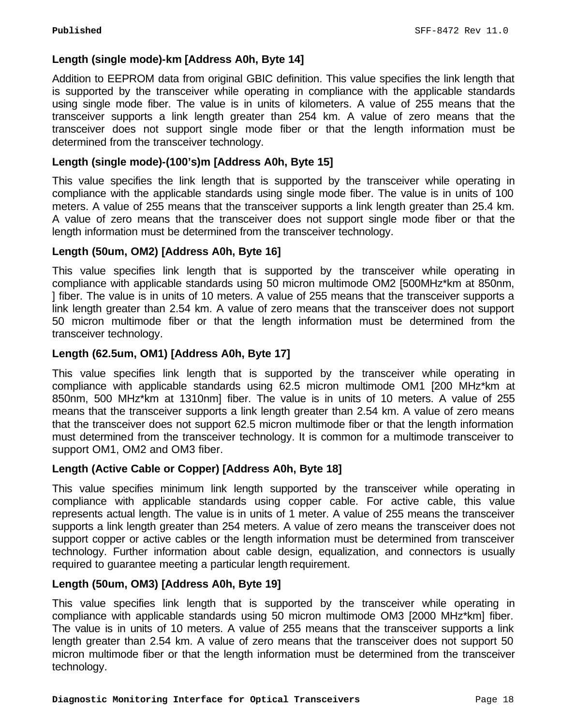# **Length (single mode)-km [Address A0h, Byte 14]**

Addition to EEPROM data from original GBIC definition. This value specifies the link length that is supported by the transceiver while operating in compliance with the applicable standards using single mode fiber. The value is in units of kilometers. A value of 255 means that the transceiver supports a link length greater than 254 km. A value of zero means that the transceiver does not support single mode fiber or that the length information must be determined from the transceiver technology.

# **Length (single mode)-(100's)m [Address A0h, Byte 15]**

This value specifies the link length that is supported by the transceiver while operating in compliance with the applicable standards using single mode fiber. The value is in units of 100 meters. A value of 255 means that the transceiver supports a link length greater than 25.4 km. A value of zero means that the transceiver does not support single mode fiber or that the length information must be determined from the transceiver technology.

# **Length (50um, OM2) [Address A0h, Byte 16]**

This value specifies link length that is supported by the transceiver while operating in compliance with applicable standards using 50 micron multimode OM2 [500MHz\*km at 850nm, ] fiber. The value is in units of 10 meters. A value of 255 means that the transceiver supports a link length greater than 2.54 km. A value of zero means that the transceiver does not support 50 micron multimode fiber or that the length information must be determined from the transceiver technology.

# **Length (62.5um, OM1) [Address A0h, Byte 17]**

This value specifies link length that is supported by the transceiver while operating in compliance with applicable standards using 62.5 micron multimode OM1 [200 MHz\*km at 850nm, 500 MHz\*km at 1310nm] fiber. The value is in units of 10 meters. A value of 255 means that the transceiver supports a link length greater than 2.54 km. A value of zero means that the transceiver does not support 62.5 micron multimode fiber or that the length information must determined from the transceiver technology. It is common for a multimode transceiver to support OM1, OM2 and OM3 fiber.

# **Length (Active Cable or Copper) [Address A0h, Byte 18]**

This value specifies minimum link length supported by the transceiver while operating in compliance with applicable standards using copper cable. For active cable, this value represents actual length. The value is in units of 1 meter. A value of 255 means the transceiver supports a link length greater than 254 meters. A value of zero means the transceiver does not support copper or active cables or the length information must be determined from transceiver technology. Further information about cable design, equalization, and connectors is usually required to guarantee meeting a particular length requirement.

# **Length (50um, OM3) [Address A0h, Byte 19]**

This value specifies link length that is supported by the transceiver while operating in compliance with applicable standards using 50 micron multimode OM3 [2000 MHz\*km] fiber. The value is in units of 10 meters. A value of 255 means that the transceiver supports a link length greater than 2.54 km. A value of zero means that the transceiver does not support 50 micron multimode fiber or that the length information must be determined from the transceiver technology.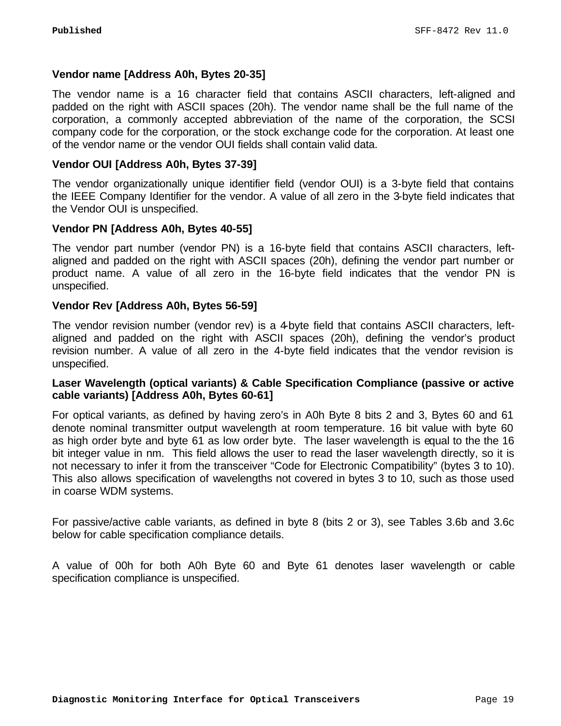# **Vendor name [Address A0h, Bytes 20-35]**

The vendor name is a 16 character field that contains ASCII characters, left-aligned and padded on the right with ASCII spaces (20h). The vendor name shall be the full name of the corporation, a commonly accepted abbreviation of the name of the corporation, the SCSI company code for the corporation, or the stock exchange code for the corporation. At least one of the vendor name or the vendor OUI fields shall contain valid data.

# **Vendor OUI [Address A0h, Bytes 37-39]**

The vendor organizationally unique identifier field (vendor OUI) is a 3-byte field that contains the IEEE Company Identifier for the vendor. A value of all zero in the 3-byte field indicates that the Vendor OUI is unspecified.

# **Vendor PN [Address A0h, Bytes 40-55]**

The vendor part number (vendor PN) is a 16-byte field that contains ASCII characters, leftaligned and padded on the right with ASCII spaces (20h), defining the vendor part number or product name. A value of all zero in the 16-byte field indicates that the vendor PN is unspecified.

# **Vendor Rev [Address A0h, Bytes 56-59]**

The vendor revision number (vendor rev) is a 4-byte field that contains ASCII characters, leftaligned and padded on the right with ASCII spaces (20h), defining the vendor's product revision number. A value of all zero in the 4-byte field indicates that the vendor revision is unspecified.

# **Laser Wavelength (optical variants) & Cable Specification Compliance (passive or active cable variants) [Address A0h, Bytes 60-61]**

For optical variants, as defined by having zero's in A0h Byte 8 bits 2 and 3, Bytes 60 and 61 denote nominal transmitter output wavelength at room temperature. 16 bit value with byte 60 as high order byte and byte 61 as low order byte. The laser wavelength is equal to the the 16 bit integer value in nm. This field allows the user to read the laser wavelength directly, so it is not necessary to infer it from the transceiver "Code for Electronic Compatibility" (bytes 3 to 10). This also allows specification of wavelengths not covered in bytes 3 to 10, such as those used in coarse WDM systems.

For passive/active cable variants, as defined in byte 8 (bits 2 or 3), see Tables 3.6b and 3.6c below for cable specification compliance details.

A value of 00h for both A0h Byte 60 and Byte 61 denotes laser wavelength or cable specification compliance is unspecified.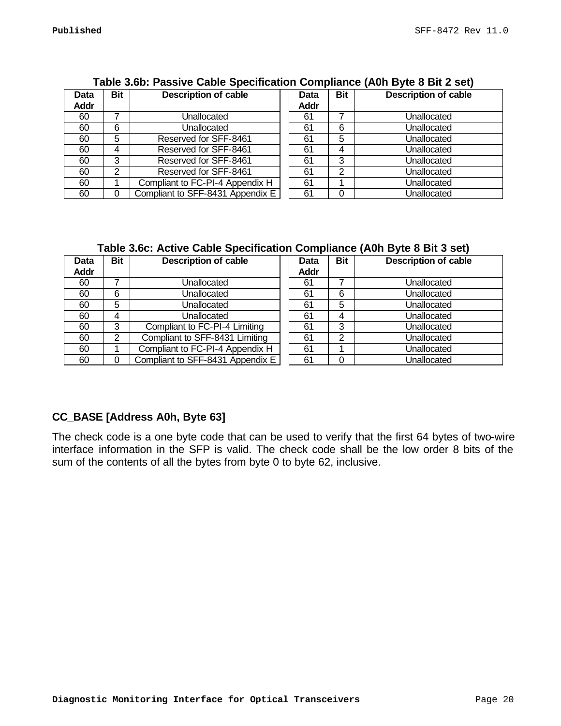|                     | $1800$ view. The source capital operation of the source (AVII Dyte of Dit 2 Set) |                                  |  |                     |            |                             |
|---------------------|----------------------------------------------------------------------------------|----------------------------------|--|---------------------|------------|-----------------------------|
| Data<br><b>Addr</b> | <b>Bit</b>                                                                       | <b>Description of cable</b>      |  | <b>Data</b><br>Addr | <b>Bit</b> | <b>Description of cable</b> |
| 60                  |                                                                                  | Unallocated                      |  | 61                  |            | Unallocated                 |
| 60                  | 6                                                                                | Unallocated                      |  | 61                  | 6          | Unallocated                 |
| 60                  | 5                                                                                | Reserved for SFF-8461            |  | 61                  | 5          | Unallocated                 |
| 60                  | 4                                                                                | Reserved for SFF-8461            |  | 61                  |            | Unallocated                 |
| 60                  | 3                                                                                | Reserved for SFF-8461            |  | 61                  | 3          | Unallocated                 |
| 60                  | 2                                                                                | Reserved for SFF-8461            |  | 61                  | 2          | Unallocated                 |
| 60                  |                                                                                  | Compliant to FC-PI-4 Appendix H  |  | 61                  |            | Unallocated                 |
| 60                  | 0                                                                                | Compliant to SFF-8431 Appendix E |  | 61                  |            | Unallocated                 |

#### **Table 3.6b: Passive Cable Specification Compliance (A0h Byte 8 Bit 2 set)**

# **Table 3.6c: Active Cable Specification Compliance (A0h Byte 8 Bit 3 set)**

| Data        | <b>Bit</b> | <b>Description of cable</b>      |  | <b>Data</b> | <b>Bit</b> | <b>Description of cable</b> |
|-------------|------------|----------------------------------|--|-------------|------------|-----------------------------|
| <b>Addr</b> |            |                                  |  | Addr        |            |                             |
| 60          |            | Unallocated                      |  | 61          |            | Unallocated                 |
| 60          | 6          | Unallocated                      |  | 61          | 6          | Unallocated                 |
| 60          | 5          | Unallocated                      |  | 61          | 5          | Unallocated                 |
| 60          | 4          | Unallocated                      |  | 61          | 4          | Unallocated                 |
| 60          | 3          | Compliant to FC-PI-4 Limiting    |  | 61          | 3          | Unallocated                 |
| 60          | 2          | Compliant to SFF-8431 Limiting   |  | 61          | ◠          | Unallocated                 |
| 60          |            | Compliant to FC-PI-4 Appendix H  |  | 61          |            | Unallocated                 |
| 60          |            | Compliant to SFF-8431 Appendix E |  | 61          |            | Unallocated                 |

# **CC\_BASE [Address A0h, Byte 63]**

The check code is a one byte code that can be used to verify that the first 64 bytes of two-wire interface information in the SFP is valid. The check code shall be the low order 8 bits of the sum of the contents of all the bytes from byte 0 to byte 62, inclusive.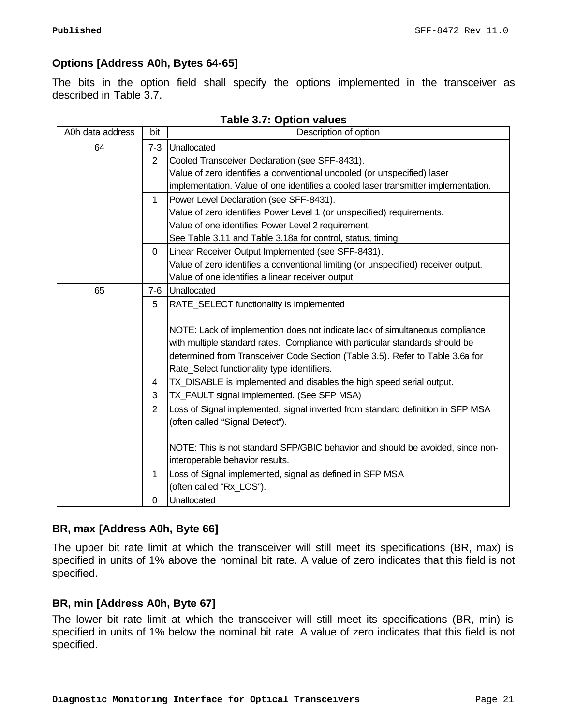# **Options [Address A0h, Bytes 64-65]**

The bits in the option field shall specify the options implemented in the transceiver as described in Table 3.7.

| A0h data address | bit            | Description of option                                                              |
|------------------|----------------|------------------------------------------------------------------------------------|
| 64               | $7 - 3$        | Unallocated                                                                        |
|                  | $\overline{2}$ | Cooled Transceiver Declaration (see SFF-8431).                                     |
|                  |                | Value of zero identifies a conventional uncooled (or unspecified) laser            |
|                  |                | implementation. Value of one identifies a cooled laser transmitter implementation. |
|                  | $\mathbf{1}$   | Power Level Declaration (see SFF-8431).                                            |
|                  |                | Value of zero identifies Power Level 1 (or unspecified) requirements.              |
|                  |                | Value of one identifies Power Level 2 requirement.                                 |
|                  |                | See Table 3.11 and Table 3.18a for control, status, timing.                        |
|                  | $\mathbf 0$    | Linear Receiver Output Implemented (see SFF-8431).                                 |
|                  |                | Value of zero identifies a conventional limiting (or unspecified) receiver output. |
|                  |                | Value of one identifies a linear receiver output.                                  |
| 65               | 7-6            | Unallocated                                                                        |
|                  | 5              | RATE_SELECT functionality is implemented                                           |
|                  |                |                                                                                    |
|                  |                | NOTE: Lack of implemention does not indicate lack of simultaneous compliance       |
|                  |                | with multiple standard rates. Compliance with particular standards should be       |
|                  |                | determined from Transceiver Code Section (Table 3.5). Refer to Table 3.6a for      |
|                  |                | Rate_Select functionality type identifiers.                                        |
|                  | 4              | TX_DISABLE is implemented and disables the high speed serial output.               |
|                  | 3              | TX_FAULT signal implemented. (See SFP MSA)                                         |
|                  | $\overline{2}$ | Loss of Signal implemented, signal inverted from standard definition in SFP MSA    |
|                  |                | (often called "Signal Detect").                                                    |
|                  |                |                                                                                    |
|                  |                | NOTE: This is not standard SFP/GBIC behavior and should be avoided, since non-     |
|                  |                | interoperable behavior results.                                                    |
|                  | 1              | Loss of Signal implemented, signal as defined in SFP MSA                           |
|                  |                | (often called "Rx_LOS").                                                           |
|                  | $\Omega$       | Unallocated                                                                        |

# **Table 3.7: Option values**

# **BR, max [Address A0h, Byte 66]**

The upper bit rate limit at which the transceiver will still meet its specifications (BR, max) is specified in units of 1% above the nominal bit rate. A value of zero indicates that this field is not specified.

# **BR, min [Address A0h, Byte 67]**

The lower bit rate limit at which the transceiver will still meet its specifications (BR, min) is specified in units of 1% below the nominal bit rate. A value of zero indicates that this field is not specified.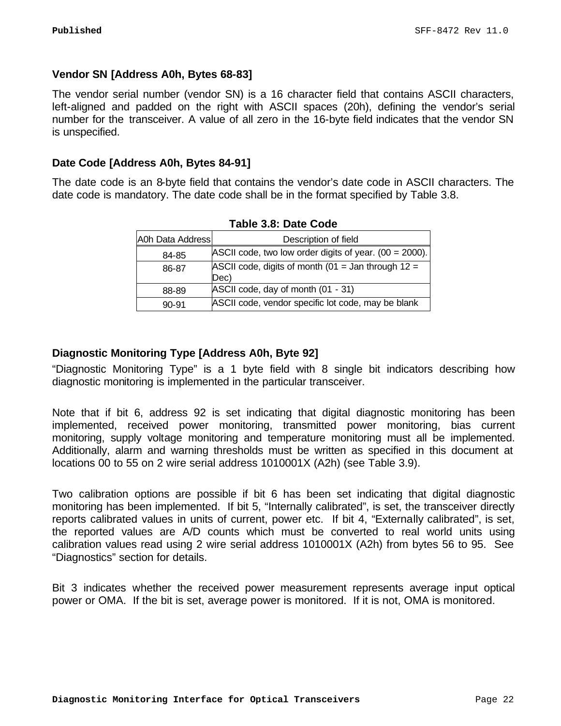# **Vendor SN [Address A0h, Bytes 68-83]**

The vendor serial number (vendor SN) is a 16 character field that contains ASCII characters, left-aligned and padded on the right with ASCII spaces (20h), defining the vendor's serial number for the transceiver. A value of all zero in the 16-byte field indicates that the vendor SN is unspecified.

# **Date Code [Address A0h, Bytes 84-91]**

The date code is an 8-byte field that contains the vendor's date code in ASCII characters. The date code is mandatory. The date code shall be in the format specified by Table 3.8.

|                  | Tapic J.V. Dalc Oodc                                         |
|------------------|--------------------------------------------------------------|
| A0h Data Address | Description of field                                         |
| 84-85            | ASCII code, two low order digits of year. $(00 = 2000)$ .    |
| 86-87            | ASCII code, digits of month (01 = Jan through $12 =$<br>(Dec |
| 88-89            | ASCII code, day of month (01 - 31)                           |
| $90 - 91$        | ASCII code, vendor specific lot code, may be blank           |

**Table 3.8: Date Code**

# **Diagnostic Monitoring Type [Address A0h, Byte 92]**

"Diagnostic Monitoring Type" is a 1 byte field with 8 single bit indicators describing how diagnostic monitoring is implemented in the particular transceiver.

Note that if bit 6, address 92 is set indicating that digital diagnostic monitoring has been implemented, received power monitoring, transmitted power monitoring, bias current monitoring, supply voltage monitoring and temperature monitoring must all be implemented. Additionally, alarm and warning thresholds must be written as specified in this document at locations 00 to 55 on 2 wire serial address 1010001X (A2h) (see Table 3.9).

Two calibration options are possible if bit 6 has been set indicating that digital diagnostic monitoring has been implemented. If bit 5, "Internally calibrated", is set, the transceiver directly reports calibrated values in units of current, power etc. If bit 4, "Externally calibrated", is set, the reported values are A/D counts which must be converted to real world units using calibration values read using 2 wire serial address 1010001X (A2h) from bytes 56 to 95. See "Diagnostics" section for details.

Bit 3 indicates whether the received power measurement represents average input optical power or OMA. If the bit is set, average power is monitored. If it is not, OMA is monitored.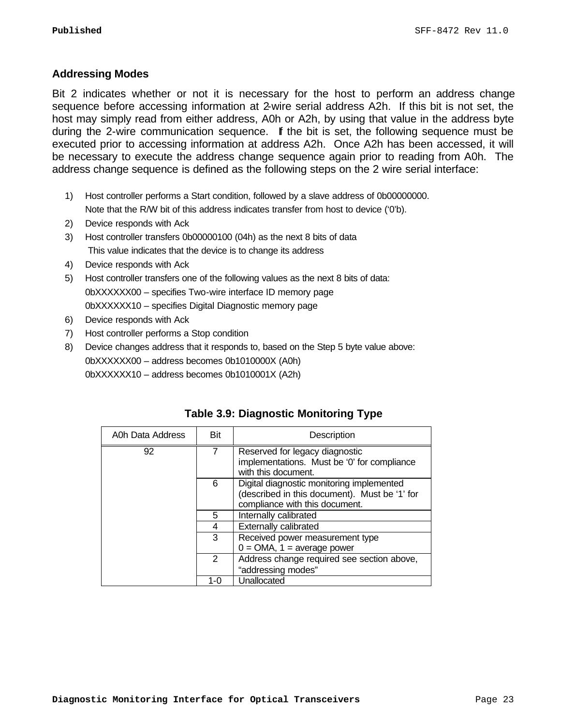#### **Addressing Modes**

Bit 2 indicates whether or not it is necessary for the host to perform an address change sequence before accessing information at 2-wire serial address A2h. If this bit is not set, the host may simply read from either address, A0h or A2h, by using that value in the address byte during the 2-wire communication sequence. If the bit is set, the following sequence must be executed prior to accessing information at address A2h. Once A2h has been accessed, it will be necessary to execute the address change sequence again prior to reading from A0h. The address change sequence is defined as the following steps on the 2 wire serial interface:

- 1) Host controller performs a Start condition, followed by a slave address of 0b00000000. Note that the R/W bit of this address indicates transfer from host to device ('0'b).
- 2) Device responds with Ack
- 3) Host controller transfers 0b00000100 (04h) as the next 8 bits of data This value indicates that the device is to change its address
- 4) Device responds with Ack
- 5) Host controller transfers one of the following values as the next 8 bits of data: 0bXXXXXX00 – specifies Two-wire interface ID memory page 0bXXXXXX10 – specifies Digital Diagnostic memory page
- 6) Device responds with Ack
- 7) Host controller performs a Stop condition
- 8) Device changes address that it responds to, based on the Step 5 byte value above: 0bXXXXXX00 – address becomes 0b1010000X (A0h) 0bXXXXXX10 – address becomes 0b1010001X (A2h)

| A0h Data Address | Bit           | Description                                                                                                                  |
|------------------|---------------|------------------------------------------------------------------------------------------------------------------------------|
| 92               |               | Reserved for legacy diagnostic<br>implementations. Must be '0' for compliance<br>with this document.                         |
|                  | 6             | Digital diagnostic monitoring implemented<br>(described in this document). Must be '1' for<br>compliance with this document. |
|                  | 5             | Internally calibrated                                                                                                        |
|                  | 4             | <b>Externally calibrated</b>                                                                                                 |
|                  | 3             | Received power measurement type<br>$0 = OMA$ , 1 = average power                                                             |
|                  | $\mathcal{P}$ | Address change required see section above,<br>"addressing modes"                                                             |
|                  | 1-0           | Unallocated                                                                                                                  |

# **Table 3.9: Diagnostic Monitoring Type**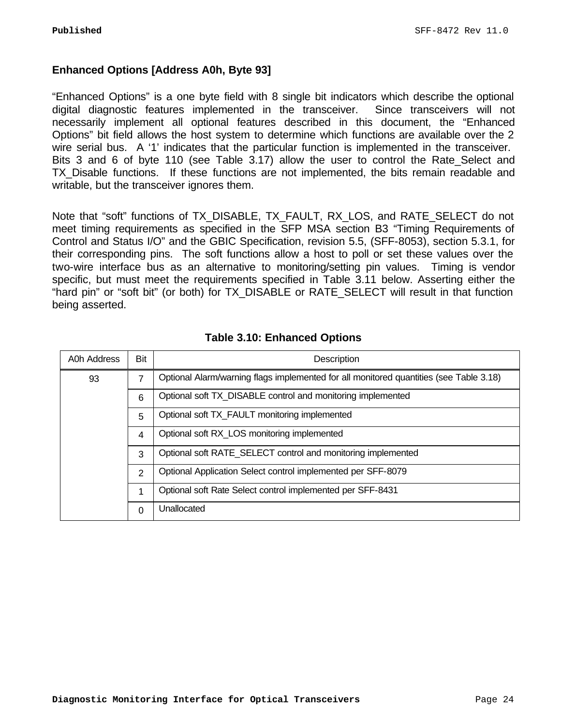# **Enhanced Options [Address A0h, Byte 93]**

"Enhanced Options" is a one byte field with 8 single bit indicators which describe the optional digital diagnostic features implemented in the transceiver. Since transceivers will not necessarily implement all optional features described in this document, the "Enhanced Options" bit field allows the host system to determine which functions are available over the 2 wire serial bus. A '1' indicates that the particular function is implemented in the transceiver. Bits 3 and 6 of byte 110 (see Table 3.17) allow the user to control the Rate\_Select and TX Disable functions. If these functions are not implemented, the bits remain readable and writable, but the transceiver ignores them.

Note that "soft" functions of TX\_DISABLE, TX\_FAULT, RX\_LOS, and RATE\_SELECT do not meet timing requirements as specified in the SFP MSA section B3 "Timing Requirements of Control and Status I/O" and the GBIC Specification, revision 5.5, (SFF-8053), section 5.3.1, for their corresponding pins. The soft functions allow a host to poll or set these values over the two-wire interface bus as an alternative to monitoring/setting pin values. Timing is vendor specific, but must meet the requirements specified in Table 3.11 below. Asserting either the "hard pin" or "soft bit" (or both) for TX\_DISABLE or RATE\_SELECT will result in that function being asserted.

| A0h Address | Bit            | Description                                                                            |
|-------------|----------------|----------------------------------------------------------------------------------------|
| 93          | 7              | Optional Alarm/warning flags implemented for all monitored quantities (see Table 3.18) |
|             | 6              | Optional soft TX DISABLE control and monitoring implemented                            |
|             | 5              | Optional soft TX FAULT monitoring implemented                                          |
|             | $\overline{4}$ | Optional soft RX_LOS monitoring implemented                                            |
|             | 3              | Optional soft RATE SELECT control and monitoring implemented                           |
|             | 2              | Optional Application Select control implemented per SFF-8079                           |
|             | 1              | Optional soft Rate Select control implemented per SFF-8431                             |
|             | $\Omega$       | Unallocated                                                                            |

#### **Table 3.10: Enhanced Options**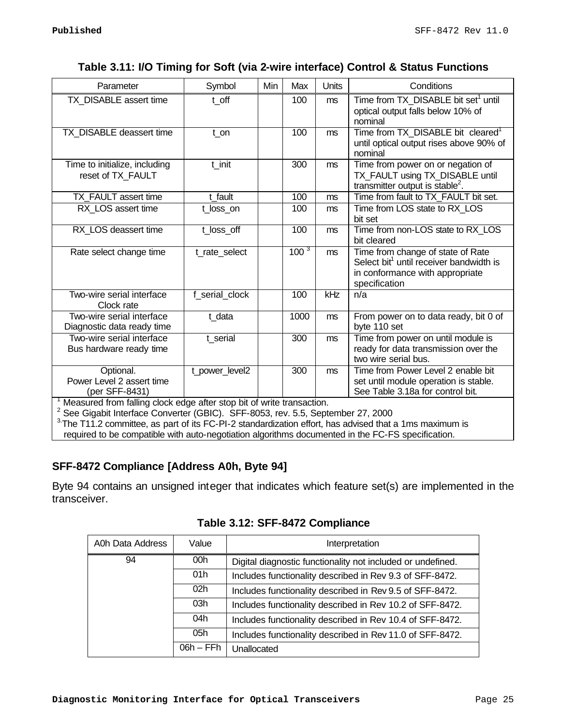# **Table 3.11: I/O Timing for Soft (via 2-wire interface) Control & Status Functions**

| Parameter                                                                                                                                                            | Symbol         | Min | Max              | Units          | Conditions                                                                                                                                   |
|----------------------------------------------------------------------------------------------------------------------------------------------------------------------|----------------|-----|------------------|----------------|----------------------------------------------------------------------------------------------------------------------------------------------|
| TX_DISABLE assert time                                                                                                                                               | t off          |     | 100              | m <sub>s</sub> | Time from TX_DISABLE bit set <sup>1</sup> until<br>optical output falls below 10% of<br>nominal                                              |
| TX DISABLE deassert time                                                                                                                                             | t on           |     | 100              | m <sub>s</sub> | Time from TX_DISABLE bit cleared <sup>1</sup><br>until optical output rises above 90% of<br>nominal                                          |
| Time to initialize, including<br>reset of TX FAULT                                                                                                                   | t_init         |     | 300              | ms             | Time from power on or negation of<br>TX_FAULT using TX_DISABLE until<br>transmitter output is stable <sup>2</sup> .                          |
| TX_FAULT assert time                                                                                                                                                 | t fault        |     | 100              | m <sub>s</sub> | Time from fault to TX_FAULT bit set.                                                                                                         |
| RX LOS assert time                                                                                                                                                   | t_loss_on      |     | 100              | ms             | Time from LOS state to RX LOS<br>bit set                                                                                                     |
| RX_LOS deassert time                                                                                                                                                 | t_loss_off     |     | 100              | ms             | Time from non-LOS state to RX_LOS<br>bit cleared                                                                                             |
| Rate select change time                                                                                                                                              | t_rate_select  |     | 100 <sup>3</sup> | m <sub>s</sub> | Time from change of state of Rate<br>Select bit <sup>1</sup> until receiver bandwidth is<br>in conformance with appropriate<br>specification |
| Two-wire serial interface<br>Clock rate                                                                                                                              | f serial clock |     | 100              | kHz            | n/a                                                                                                                                          |
| Two-wire serial interface<br>Diagnostic data ready time                                                                                                              | t data         |     | 1000             | ms             | From power on to data ready, bit 0 of<br>byte 110 set                                                                                        |
| Two-wire serial interface<br>Bus hardware ready time                                                                                                                 | t serial       |     | 300              | m <sub>s</sub> | Time from power on until module is<br>ready for data transmission over the<br>two wire serial bus.                                           |
| Optional.<br>Power Level 2 assert time<br>(per SFF-8431)                                                                                                             | t_power_level2 |     | 300              | m <sub>s</sub> | Time from Power Level 2 enable bit<br>set until module operation is stable.<br>See Table 3.18a for control bit.                              |
| Measured from falling clock edge after stop bit of write transaction.<br><sup>2</sup> See Gigabit Interface Converter (GBIC). SFF-8053, rev. 5.5, September 27, 2000 |                |     |                  |                |                                                                                                                                              |

 $3$ The T11.2 committee, as part of its FC-PI-2 standardization effort, has advised that a 1ms maximum is required to be compatible with auto-negotiation algorithms documented in the FC-FS specification.

# **SFF-8472 Compliance [Address A0h, Byte 94]**

Byte 94 contains an unsigned integer that indicates which feature set(s) are implemented in the transceiver.

| A0h Data Address | Value           | Interpretation                                              |
|------------------|-----------------|-------------------------------------------------------------|
| 94               | 00 <sub>h</sub> | Digital diagnostic functionality not included or undefined. |
|                  | 01h             | Includes functionality described in Rev 9.3 of SFF-8472.    |
|                  | 02 <sub>h</sub> | Includes functionality described in Rev 9.5 of SFF-8472.    |
|                  | 03h             | Includes functionality described in Rev 10.2 of SFF-8472.   |
|                  | 04h             | Includes functionality described in Rev 10.4 of SFF-8472.   |
|                  | 05h             | Includes functionality described in Rev 11.0 of SFF-8472.   |
|                  | $06h$ – FF $h$  | Unallocated                                                 |

# **Table 3.12: SFF-8472 Compliance**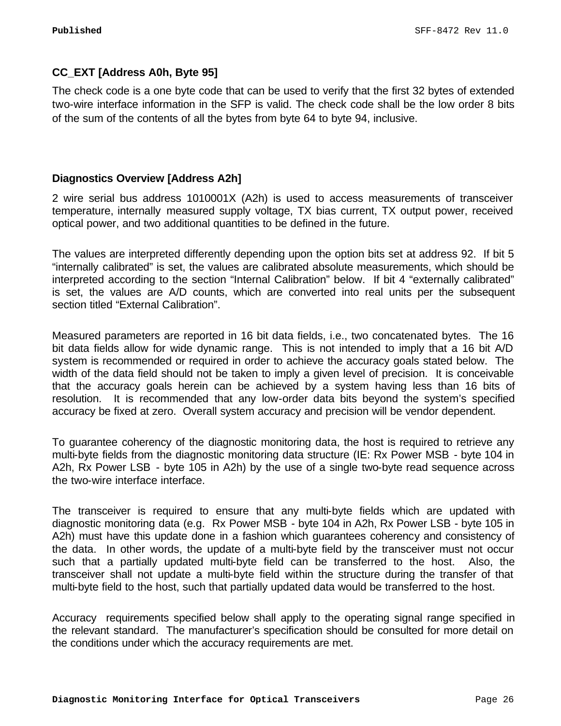# **CC\_EXT [Address A0h, Byte 95]**

The check code is a one byte code that can be used to verify that the first 32 bytes of extended two-wire interface information in the SFP is valid. The check code shall be the low order 8 bits of the sum of the contents of all the bytes from byte 64 to byte 94, inclusive.

# **Diagnostics Overview [Address A2h]**

2 wire serial bus address 1010001X (A2h) is used to access measurements of transceiver temperature, internally measured supply voltage, TX bias current, TX output power, received optical power, and two additional quantities to be defined in the future.

The values are interpreted differently depending upon the option bits set at address 92. If bit 5 "internally calibrated" is set, the values are calibrated absolute measurements, which should be interpreted according to the section "Internal Calibration" below. If bit 4 "externally calibrated" is set, the values are A/D counts, which are converted into real units per the subsequent section titled "External Calibration".

Measured parameters are reported in 16 bit data fields, i.e., two concatenated bytes. The 16 bit data fields allow for wide dynamic range. This is not intended to imply that a 16 bit A/D system is recommended or required in order to achieve the accuracy goals stated below. The width of the data field should not be taken to imply a given level of precision. It is conceivable that the accuracy goals herein can be achieved by a system having less than 16 bits of resolution. It is recommended that any low-order data bits beyond the system's specified accuracy be fixed at zero. Overall system accuracy and precision will be vendor dependent.

To guarantee coherency of the diagnostic monitoring data, the host is required to retrieve any multi-byte fields from the diagnostic monitoring data structure (IE: Rx Power MSB - byte 104 in A2h, Rx Power LSB - byte 105 in A2h) by the use of a single two-byte read sequence across the two-wire interface interface.

The transceiver is required to ensure that any multi-byte fields which are updated with diagnostic monitoring data (e.g. Rx Power MSB - byte 104 in A2h, Rx Power LSB - byte 105 in A2h) must have this update done in a fashion which guarantees coherency and consistency of the data. In other words, the update of a multi-byte field by the transceiver must not occur such that a partially updated multi-byte field can be transferred to the host. Also, the transceiver shall not update a multi-byte field within the structure during the transfer of that multi-byte field to the host, such that partially updated data would be transferred to the host.

Accuracy requirements specified below shall apply to the operating signal range specified in the relevant standard. The manufacturer's specification should be consulted for more detail on the conditions under which the accuracy requirements are met.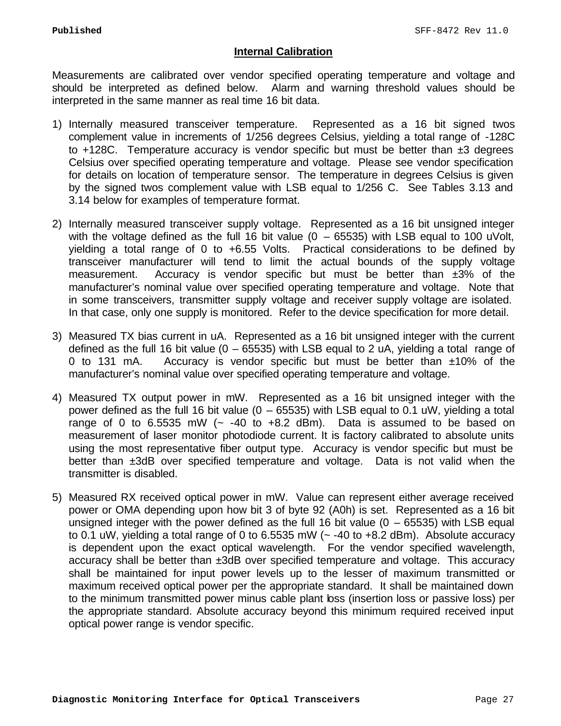# **Internal Calibration**

Measurements are calibrated over vendor specified operating temperature and voltage and should be interpreted as defined below. Alarm and warning threshold values should be interpreted in the same manner as real time 16 bit data.

- 1) Internally measured transceiver temperature. Represented as a 16 bit signed twos complement value in increments of 1/256 degrees Celsius, yielding a total range of -128C to  $+128C$ . Temperature accuracy is vendor specific but must be better than  $\pm 3$  degrees Celsius over specified operating temperature and voltage. Please see vendor specification for details on location of temperature sensor. The temperature in degrees Celsius is given by the signed twos complement value with LSB equal to 1/256 C. See Tables 3.13 and 3.14 below for examples of temperature format.
- 2) Internally measured transceiver supply voltage. Represented as a 16 bit unsigned integer with the voltage defined as the full 16 bit value  $(0 - 65535)$  with LSB equal to 100 uVolt, yielding a total range of 0 to +6.55 Volts. Practical considerations to be defined by transceiver manufacturer will tend to limit the actual bounds of the supply voltage measurement. Accuracy is vendor specific but must be better than  $\pm 3\%$  of the manufacturer's nominal value over specified operating temperature and voltage. Note that in some transceivers, transmitter supply voltage and receiver supply voltage are isolated. In that case, only one supply is monitored. Refer to the device specification for more detail.
- 3) Measured TX bias current in uA. Represented as a 16 bit unsigned integer with the current defined as the full 16 bit value  $(0 - 65535)$  with LSB equal to 2 uA, yielding a total range of 0 to 131 mA. Accuracy is vendor specific but must be better than  $\pm 10\%$  of the manufacturer's nominal value over specified operating temperature and voltage.
- 4) Measured TX output power in mW. Represented as a 16 bit unsigned integer with the power defined as the full 16 bit value (0 – 65535) with LSB equal to 0.1 uW, yielding a total range of 0 to 6.5535 mW  $\left(-\right. -40$  to  $+8.2$  dBm). Data is assumed to be based on measurement of laser monitor photodiode current. It is factory calibrated to absolute units using the most representative fiber output type. Accuracy is vendor specific but must be better than ±3dB over specified temperature and voltage. Data is not valid when the transmitter is disabled.
- 5) Measured RX received optical power in mW. Value can represent either average received power or OMA depending upon how bit 3 of byte 92 (A0h) is set. Represented as a 16 bit unsigned integer with the power defined as the full 16 bit value  $(0 - 65535)$  with LSB equal to 0.1 uW, yielding a total range of 0 to 6.5535 mW ( $\sim$  -40 to +8.2 dBm). Absolute accuracy is dependent upon the exact optical wavelength. For the vendor specified wavelength, accuracy shall be better than ±3dB over specified temperature and voltage. This accuracy shall be maintained for input power levels up to the lesser of maximum transmitted or maximum received optical power per the appropriate standard. It shall be maintained down to the minimum transmitted power minus cable plant loss (insertion loss or passive loss) per the appropriate standard. Absolute accuracy beyond this minimum required received input optical power range is vendor specific.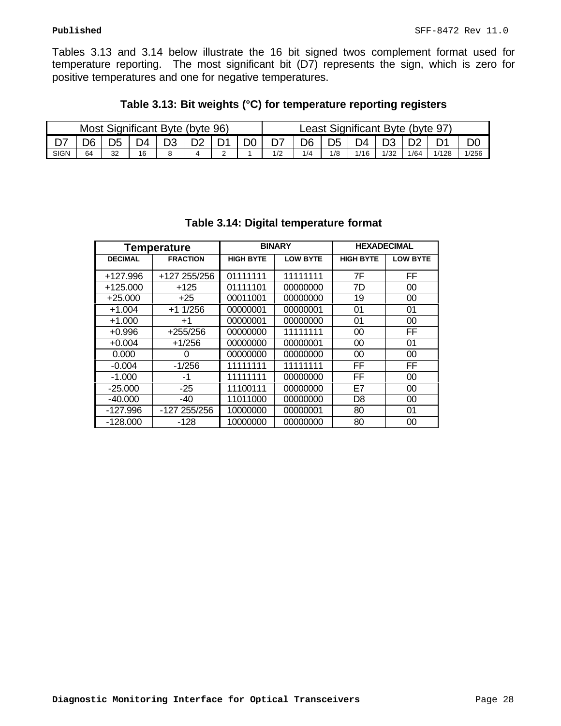Tables 3.13 and 3.14 below illustrate the 16 bit signed twos complement format used for temperature reporting. The most significant bit (D7) represents the sign, which is zero for positive temperatures and one for negative temperatures.

| Table 3.13: Bit weights (°C) for temperature reporting registers |  |  |  |  |  |  |
|------------------------------------------------------------------|--|--|--|--|--|--|
|------------------------------------------------------------------|--|--|--|--|--|--|

| Most Significant Byte (byte 96) |    |    |     |    |    |     | Least Significant Byte (byte 97) |     |      |      |      |       |       |
|---------------------------------|----|----|-----|----|----|-----|----------------------------------|-----|------|------|------|-------|-------|
|                                 | ∩ה | ነፍ | ר ∩ | ᇰᄼ | D0 |     | D6                               | n5  | )4   |      |      |       |       |
| <b>SIGN</b>                     | 64 | 32 | 16  |    |    | 1/2 | 1/4                              | 1/8 | 1/16 | 1/32 | 1/64 | 1/128 | 1/256 |

| <b>Temperature</b> |                 |                  | <b>BINARY</b>   | <b>HEXADECIMAL</b> |                 |  |
|--------------------|-----------------|------------------|-----------------|--------------------|-----------------|--|
| <b>DECIMAL</b>     | <b>FRACTION</b> | <b>HIGH BYTE</b> | <b>LOW BYTE</b> | <b>HIGH BYTE</b>   | <b>LOW BYTE</b> |  |
| +127.996           | +127 255/256    | 01111111         | 11111111        | 7F                 | FF              |  |
| $+125.000$         | $+125$          | 01111101         | 00000000        | 7D                 | 00              |  |
| $+25.000$          | $+25$           | 00011001         | 00000000        | 19                 | 00              |  |
| $+1.004$           | $+1$ 1/256      | 00000001         | 00000001        | 01                 | 01              |  |
| $+1.000$           | $+1$            | 00000001         | 00000000        | 01                 | 00              |  |
| $+0.996$           | $+255/256$      | 00000000         | 11111111        | 00                 | FF              |  |
| $+0.004$           | $+1/256$        | 00000000         | 00000001        | 00                 | 01              |  |
| 0.000              | 0               | 00000000         | 00000000        | 00                 | 00              |  |
| $-0.004$           | $-1/256$        | 11111111         | 11111111        | <b>FF</b>          | <b>FF</b>       |  |
| $-1.000$           | -1              | 11111111         | 00000000        | FF                 | 00              |  |
| $-25.000$          | $-25$           | 11100111         | 00000000        | E7                 | 00              |  |
| $-40.000$          | -40             | 11011000         | 00000000        | D <sub>8</sub>     | 00              |  |
| $-127.996$         | -127 255/256    | 10000000         | 00000001        | 80                 | 01              |  |
| $-128.000$         | -128            | 10000000         | 00000000        | 80                 | 00              |  |

# **Table 3.14: Digital temperature format**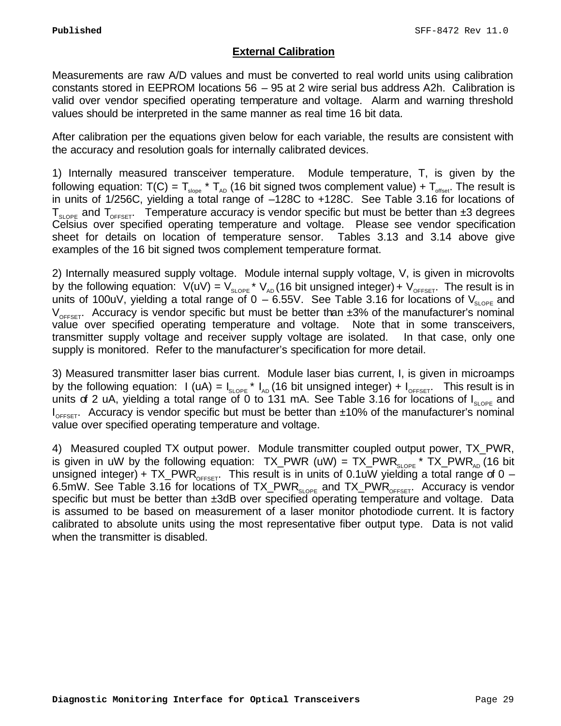# **External Calibration**

Measurements are raw A/D values and must be converted to real world units using calibration constants stored in EEPROM locations 56 – 95 at 2 wire serial bus address A2h. Calibration is valid over vendor specified operating temperature and voltage. Alarm and warning threshold values should be interpreted in the same manner as real time 16 bit data.

After calibration per the equations given below for each variable, the results are consistent with the accuracy and resolution goals for internally calibrated devices.

1) Internally measured transceiver temperature. Module temperature, T, is given by the following equation:  $T(C) = T_{\text{slope}} * T_{AD}$  (16 bit signed twos complement value) +  $T_{\text{offset}}$ . The result is in units of 1/256C, yielding a total range of –128C to +128C. See Table 3.16 for locations of  $T_{\text{slope}}$  and  $T_{\text{OFFSET}}$ . Temperature accuracy is vendor specific but must be better than  $\pm 3$  degrees Celsius over specified operating temperature and voltage. Please see vendor specification sheet for details on location of temperature sensor. Tables 3.13 and 3.14 above give examples of the 16 bit signed twos complement temperature format.

2) Internally measured supply voltage. Module internal supply voltage, V, is given in microvolts by the following equation:  $V(uV) = V_{\text{slope}} * V_{\text{AD}}$  (16 bit unsigned integer) +  $V_{\text{OFFSET}}$ . The result is in units of 100uV, yielding a total range of  $0 - 6.55V$ . See Table 3.16 for locations of  $V_{SLOPE}$  and  $V_{\text{OFFEFT}}$ . Accuracy is vendor specific but must be better than  $\pm 3\%$  of the manufacturer's nominal value over specified operating temperature and voltage. Note that in some transceivers, transmitter supply voltage and receiver supply voltage are isolated. In that case, only one supply is monitored. Refer to the manufacturer's specification for more detail.

3) Measured transmitter laser bias current. Module laser bias current, I, is given in microamps by the following equation: I (uA) =  $I_{SLOPE}$  \*  $I_{AD}$  (16 bit unsigned integer) +  $I_{OFSET}$ . This result is in units of 2 uA, yielding a total range of 0 to 131 mA. See Table 3.16 for locations of  $I_{SLOPE}$  and  $I_{\text{OFFF}}$ . Accuracy is vendor specific but must be better than  $\pm 10\%$  of the manufacturer's nominal value over specified operating temperature and voltage.

4) Measured coupled TX output power. Module transmitter coupled output power, TX\_PWR, is given in uW by the following equation:  $TX_PWR$  (uW) =  $TX_PWR_{SLOPE}$  \*  $TX_PWR_{AD}$  (16 bit unsigned integer) + TX\_PWR<sub>OFFSET</sub>. This result is in units of 0.1uW yielding a total range of 0 – 6.5mW. See Table 3.16 for locations of  $TX_PWR_{SLOPE}$  and  $TX_PWR_{OFFSET}$ . Accuracy is vendor specific but must be better than ±3dB over specified operating temperature and voltage. Data is assumed to be based on measurement of a laser monitor photodiode current. It is factory calibrated to absolute units using the most representative fiber output type. Data is not valid when the transmitter is disabled.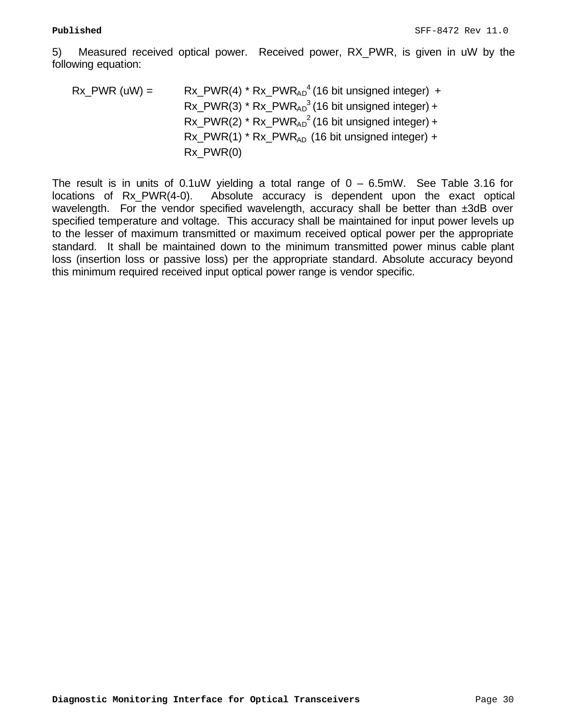5) Measured received optical power. Received power, RX\_PWR, is given in uW by the following equation:

$$
Rx_{\text{L}}PWR \text{ (uW)} = Rx_{\text{L}}PWR(4) * Rx_{\text{L}}PWR_{AD}^{4} \text{ (16 bit unsigned integer) } + Rx_{\text{L}}PWR(3) * Rx_{AD}^{3} \text{ (16 bit unsigned integer) } + Rx_{\text{L}}PWR(2) * Rx_{AD}^{2} \text{ (16 bit unsigned integer) } + Rx_{\text{L}}PWR(1) * Rx_{AD}^{2} \text{ (16 bit unsigned integer) } + Rx_{\text{L}}PWR(0)
$$

The result is in units of  $0.1$ uW yielding a total range of  $0 - 6.5$ mW. See Table 3.16 for locations of Rx\_PWR(4-0). Absolute accuracy is dependent upon the exact optical wavelength. For the vendor specified wavelength, accuracy shall be better than ±3dB over specified temperature and voltage. This accuracy shall be maintained for input power levels up to the lesser of maximum transmitted or maximum received optical power per the appropriate standard. It shall be maintained down to the minimum transmitted power minus cable plant loss (insertion loss or passive loss) per the appropriate standard. Absolute accuracy beyond this minimum required received input optical power range is vendor specific.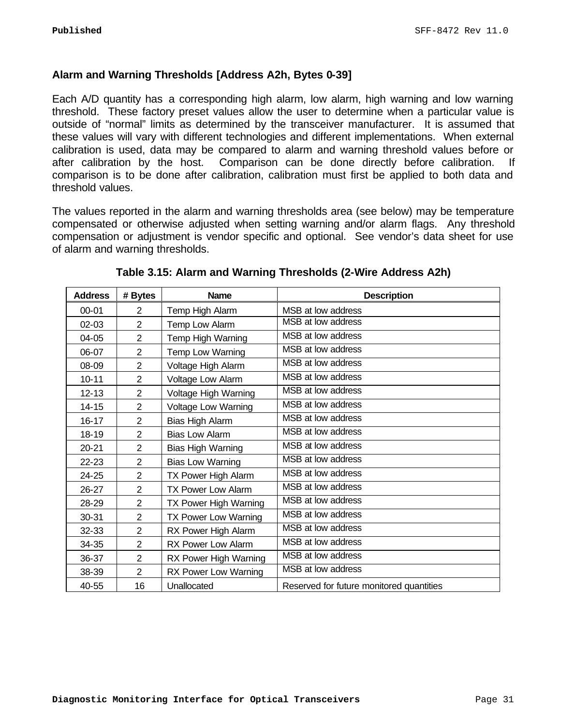# **Alarm and Warning Thresholds [Address A2h, Bytes 0-39]**

Each A/D quantity has a corresponding high alarm, low alarm, high warning and low warning threshold. These factory preset values allow the user to determine when a particular value is outside of "normal" limits as determined by the transceiver manufacturer. It is assumed that these values will vary with different technologies and different implementations. When external calibration is used, data may be compared to alarm and warning threshold values before or after calibration by the host. Comparison can be done directly before calibration. If comparison is to be done after calibration, calibration must first be applied to both data and threshold values.

The values reported in the alarm and warning thresholds area (see below) may be temperature compensated or otherwise adjusted when setting warning and/or alarm flags. Any threshold compensation or adjustment is vendor specific and optional. See vendor's data sheet for use of alarm and warning thresholds.

| <b>Address</b> | # Bytes        | <b>Name</b>               | <b>Description</b>                       |
|----------------|----------------|---------------------------|------------------------------------------|
| $00 - 01$      | $\overline{2}$ | Temp High Alarm           | MSB at low address                       |
| $02 - 03$      | $\overline{2}$ | Temp Low Alarm            | MSB at low address                       |
| $04 - 05$      | $\overline{2}$ | Temp High Warning         | MSB at low address                       |
| 06-07          | $\overline{2}$ | Temp Low Warning          | MSB at low address                       |
| 08-09          | $\overline{2}$ | Voltage High Alarm        | MSB at low address                       |
| $10 - 11$      | $\overline{2}$ | Voltage Low Alarm         | MSB at low address                       |
| $12 - 13$      | $\overline{2}$ | Voltage High Warning      | MSB at low address                       |
| $14 - 15$      | $\overline{2}$ | Voltage Low Warning       | MSB at low address                       |
| $16 - 17$      | $\overline{2}$ | Bias High Alarm           | MSB at low address                       |
| 18-19          | $\overline{2}$ | <b>Bias Low Alarm</b>     | MSB at low address                       |
| $20 - 21$      | $\overline{2}$ | Bias High Warning         | MSB at low address                       |
| $22 - 23$      | $\overline{2}$ | <b>Bias Low Warning</b>   | MSB at low address                       |
| 24-25          | $\overline{2}$ | TX Power High Alarm       | MSB at low address                       |
| $26 - 27$      | $\overline{2}$ | <b>TX Power Low Alarm</b> | MSB at low address                       |
| 28-29          | $\overline{2}$ | TX Power High Warning     | MSB at low address                       |
| 30-31          | $\overline{2}$ | TX Power Low Warning      | MSB at low address                       |
| 32-33          | $\overline{2}$ | RX Power High Alarm       | MSB at low address                       |
| 34-35          | $\overline{2}$ | RX Power Low Alarm        | MSB at low address                       |
| 36-37          | $\overline{2}$ | RX Power High Warning     | MSB at low address                       |
| 38-39          | $\overline{2}$ | RX Power Low Warning      | MSB at low address                       |
| 40-55          | 16             | Unallocated               | Reserved for future monitored quantities |

**Table 3.15: Alarm and Warning Thresholds (2-Wire Address A2h)**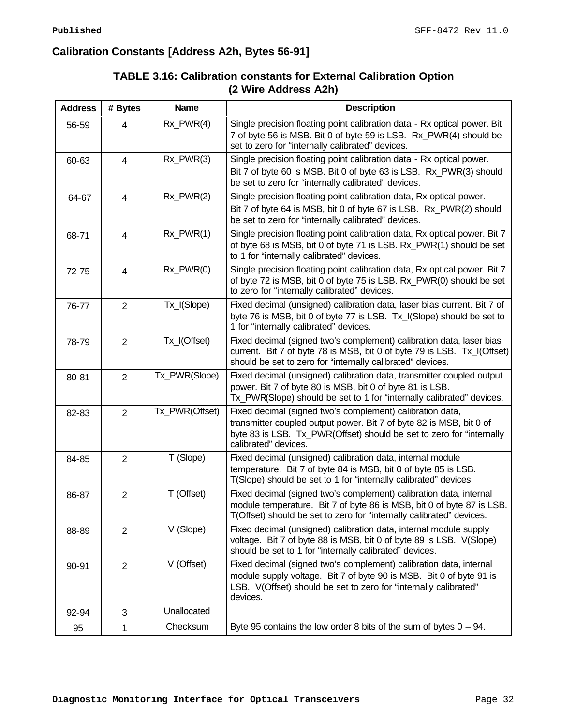# **Calibration Constants [Address A2h, Bytes 56-91]**

| <b>Address</b> | # Bytes        | <b>Name</b>    | <b>Description</b>                                                                                                                                                                                                               |
|----------------|----------------|----------------|----------------------------------------------------------------------------------------------------------------------------------------------------------------------------------------------------------------------------------|
| 56-59          | 4              | $Rx_PWR(4)$    | Single precision floating point calibration data - Rx optical power. Bit<br>7 of byte 56 is MSB. Bit 0 of byte 59 is LSB. Rx_PWR(4) should be<br>set to zero for "internally calibrated" devices.                                |
| 60-63          | 4              | Rx_PWR(3)      | Single precision floating point calibration data - Rx optical power.<br>Bit 7 of byte 60 is MSB. Bit 0 of byte 63 is LSB. Rx_PWR(3) should<br>be set to zero for "internally calibrated" devices.                                |
| 64-67          | $\overline{4}$ | Rx PWR(2)      | Single precision floating point calibration data, Rx optical power.<br>Bit 7 of byte 64 is MSB, bit 0 of byte 67 is LSB. Rx_PWR(2) should<br>be set to zero for "internally calibrated" devices.                                 |
| 68-71          | 4              | Rx_PWR(1)      | Single precision floating point calibration data, Rx optical power. Bit 7<br>of byte 68 is MSB, bit 0 of byte 71 is LSB. Rx_PWR(1) should be set<br>to 1 for "internally calibrated" devices.                                    |
| 72-75          | 4              | $Rx_PWR(0)$    | Single precision floating point calibration data, Rx optical power. Bit 7<br>of byte 72 is MSB, bit 0 of byte 75 is LSB. Rx PWR(0) should be set<br>to zero for "internally calibrated" devices.                                 |
| 76-77          | $\overline{2}$ | Tx_I(Slope)    | Fixed decimal (unsigned) calibration data, laser bias current. Bit 7 of<br>byte 76 is MSB, bit 0 of byte 77 is LSB. Tx_I(Slope) should be set to<br>1 for "internally calibrated" devices.                                       |
| 78-79          | $\overline{2}$ | Tx_I(Offset)   | Fixed decimal (signed two's complement) calibration data, laser bias<br>current. Bit 7 of byte 78 is MSB, bit 0 of byte 79 is LSB. Tx_I(Offset)<br>should be set to zero for "internally calibrated" devices.                    |
| 80-81          | $\overline{2}$ | Tx_PWR(Slope)  | Fixed decimal (unsigned) calibration data, transmitter coupled output<br>power. Bit 7 of byte 80 is MSB, bit 0 of byte 81 is LSB.<br>Tx_PWR(Slope) should be set to 1 for "internally calibrated" devices.                       |
| 82-83          | $\overline{2}$ | Tx_PWR(Offset) | Fixed decimal (signed two's complement) calibration data,<br>transmitter coupled output power. Bit 7 of byte 82 is MSB, bit 0 of<br>byte 83 is LSB. Tx_PWR(Offset) should be set to zero for "internally<br>calibrated" devices. |
| 84-85          | $\overline{2}$ | T (Slope)      | Fixed decimal (unsigned) calibration data, internal module<br>temperature. Bit 7 of byte 84 is MSB, bit 0 of byte 85 is LSB.<br>T(Slope) should be set to 1 for "internally calibrated" devices.                                 |
| 86-87          | $\overline{2}$ | T (Offset)     | Fixed decimal (signed two's complement) calibration data, internal<br>module temperature. Bit 7 of byte 86 is MSB, bit 0 of byte 87 is LSB.<br>T(Offset) should be set to zero for "internally calibrated" devices.              |
| 88-89          | $\overline{2}$ | V (Slope)      | Fixed decimal (unsigned) calibration data, internal module supply<br>voltage. Bit 7 of byte 88 is MSB, bit 0 of byte 89 is LSB. V(Slope)<br>should be set to 1 for "internally calibrated" devices.                              |
| 90-91          | $\overline{2}$ | V (Offset)     | Fixed decimal (signed two's complement) calibration data, internal<br>module supply voltage. Bit 7 of byte 90 is MSB. Bit 0 of byte 91 is<br>LSB. V(Offset) should be set to zero for "internally calibrated"<br>devices.        |
| 92-94          | 3              | Unallocated    |                                                                                                                                                                                                                                  |
| 95             | 1              | Checksum       | Byte 95 contains the low order 8 bits of the sum of bytes $0 - 94$ .                                                                                                                                                             |

# **TABLE 3.16: Calibration constants for External Calibration Option (2 Wire Address A2h)**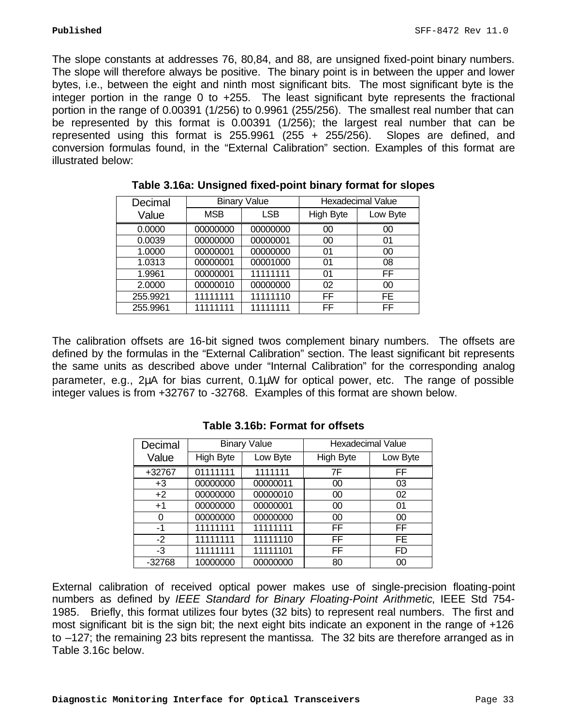The slope constants at addresses 76, 80,84, and 88, are unsigned fixed-point binary numbers. The slope will therefore always be positive. The binary point is in between the upper and lower bytes, i.e., between the eight and ninth most significant bits. The most significant byte is the integer portion in the range 0 to +255. The least significant byte represents the fractional portion in the range of 0.00391 (1/256) to 0.9961 (255/256). The smallest real number that can be represented by this format is 0.00391 (1/256); the largest real number that can be represented using this format is  $255.9961$  ( $255 + 255/256$ ). Slopes are defined, and conversion formulas found, in the "External Calibration" section. Examples of this format are illustrated below:

| Decimal  |            | <b>Binary Value</b> |                  | <b>Hexadecimal Value</b> |
|----------|------------|---------------------|------------------|--------------------------|
| Value    | <b>MSB</b> | <b>LSB</b>          | <b>High Byte</b> | Low Byte                 |
| 0.0000   | 00000000   | 00000000            | 00               | 00                       |
| 0.0039   | 00000000   | 00000001            | 00               | 01                       |
| 1.0000   | 00000001   | 00000000            | 01               | 00                       |
| 1.0313   | 00000001   | 00001000            | 01               | 08                       |
| 1.9961   | 00000001   | 11111111            | 01               | FF.                      |
| 2.0000   | 00000010   | 00000000            | 02               | 00                       |
| 255.9921 | 11111111   | 11111110            | <b>FF</b>        | FE.                      |
| 255.9961 | 11111111   | 11111111            | FF               | FF                       |

| Table 3.16a: Unsigned fixed-point binary format for slopes |  |
|------------------------------------------------------------|--|
|------------------------------------------------------------|--|

The calibration offsets are 16-bit signed twos complement binary numbers. The offsets are defined by the formulas in the "External Calibration" section. The least significant bit represents the same units as described above under "Internal Calibration" for the corresponding analog parameter, e.g., 2μA for bias current, 0.1μW for optical power, etc. The range of possible integer values is from +32767 to -32768. Examples of this format are shown below.

| Decimal  |                  | <b>Binary Value</b> | <b>Hexadecimal Value</b> |           |
|----------|------------------|---------------------|--------------------------|-----------|
| Value    | <b>High Byte</b> | Low Byte            | <b>High Byte</b>         | Low Byte  |
| +32767   | 01111111         | 1111111             | 7F                       | FF        |
| $+3$     | 00000000         | 00000011            | 00                       | 03        |
| $+2$     | 00000000         | 00000010            | 00                       | 02        |
| $+1$     | 00000000         | 00000001            | 00                       | 01        |
| 0        | 00000000         | 00000000            | 00                       | 00        |
| -1       | 11111111         | 11111111            | FF                       | FF.       |
| $-2$     | 11111111         | 11111110            | FF                       | FE.       |
| $-3$     | 11111111         | 11111101            | <b>FF</b>                | <b>FD</b> |
| $-32768$ | 10000000         | 00000000            | 80                       | 00        |

**Table 3.16b: Format for offsets**

External calibration of received optical power makes use of single-precision floating-point numbers as defined by *IEEE Standard for Binary Floating-Point Arithmetic*, IEEE Std 754- 1985. Briefly, this format utilizes four bytes (32 bits) to represent real numbers. The first and most significant bit is the sign bit; the next eight bits indicate an exponent in the range of +126 to –127; the remaining 23 bits represent the mantissa. The 32 bits are therefore arranged as in Table 3.16c below.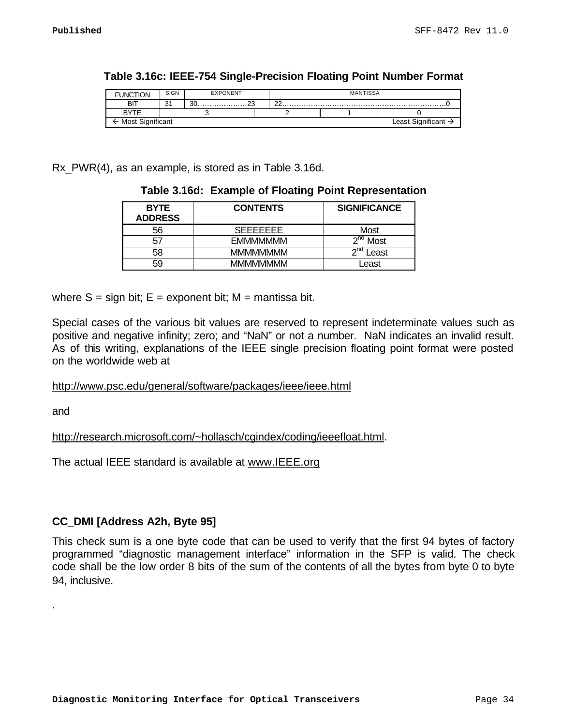| Tion<br><b>FUNCT</b> | <b>SIGN</b> | <b>EXPONENT</b> |  |        | <b>MANTISSA</b>                 |  |
|----------------------|-------------|-----------------|--|--------|---------------------------------|--|
| BIT                  | ົ<br>ັບ     |                 |  | $\cap$ |                                 |  |
| <b>BYTE</b>          |             |                 |  |        |                                 |  |
| Most Significant     |             |                 |  |        | Least Significant $\rightarrow$ |  |

Rx\_PWR(4), as an example, is stored as in Table 3.16d.

| <b>BYTE</b><br><b>ADDRESS</b> | <b>CONTENTS</b>  | <b>SIGNIFICANCE</b> |
|-------------------------------|------------------|---------------------|
| 56                            | SEEEEEEE         | Most                |
| 57                            | <b>EMMMMMMM</b>  | ond<br>Most         |
| 58                            | <b>MMMMMMMM</b>  | ∩nd<br>-east        |
| 59                            | <b>MMMMMMMMM</b> | _east               |

**Table 3.16d: Example of Floating Point Representation**

where  $S = \text{sign bit}$ ;  $E = \text{exponent bit}$ ;  $M = \text{mantissa bit}$ .

Special cases of the various bit values are reserved to represent indeterminate values such as positive and negative infinity; zero; and "NaN" or not a number. NaN indicates an invalid result. As of this writing, explanations of the IEEE single precision floating point format were posted on the worldwide web at

http://www.psc.edu/general/software/packages/ieee/ieee.html

and

.

http://research.microsoft.com/~hollasch/cgindex/coding/ieeefloat.html.

The actual IEEE standard is available at www.IEEE.org

# **CC\_DMI [Address A2h, Byte 95]**

This check sum is a one byte code that can be used to verify that the first 94 bytes of factory programmed "diagnostic management interface" information in the SFP is valid. The check code shall be the low order 8 bits of the sum of the contents of all the bytes from byte 0 to byte 94, inclusive.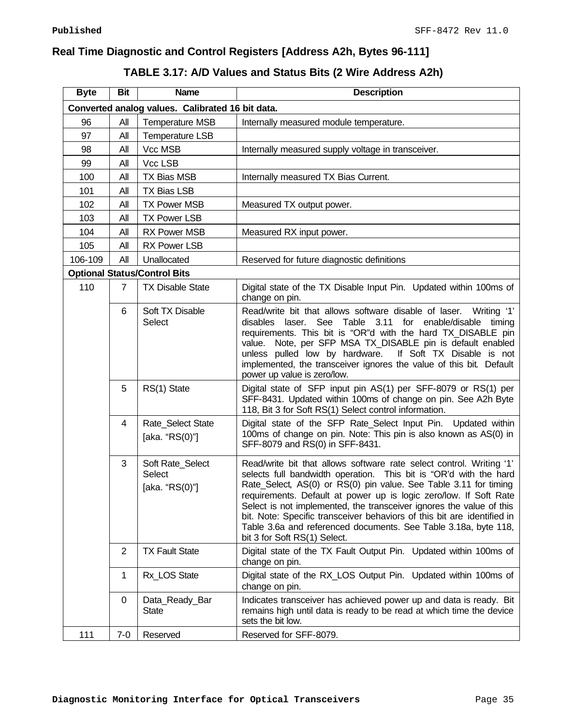# **Real Time Diagnostic and Control Registers [Address A2h, Bytes 96-111]**

# **TABLE 3.17: A/D Values and Status Bits (2 Wire Address A2h)**

| <b>Byte</b> | <b>Bit</b>     | <b>Name</b>                                         | <b>Description</b>                                                                                                                                                                                                                                                                                                                                                                                                                                                                                                                       |
|-------------|----------------|-----------------------------------------------------|------------------------------------------------------------------------------------------------------------------------------------------------------------------------------------------------------------------------------------------------------------------------------------------------------------------------------------------------------------------------------------------------------------------------------------------------------------------------------------------------------------------------------------------|
|             |                | Converted analog values. Calibrated 16 bit data.    |                                                                                                                                                                                                                                                                                                                                                                                                                                                                                                                                          |
| 96          | All            | <b>Temperature MSB</b>                              | Internally measured module temperature.                                                                                                                                                                                                                                                                                                                                                                                                                                                                                                  |
| 97          | All            | <b>Temperature LSB</b>                              |                                                                                                                                                                                                                                                                                                                                                                                                                                                                                                                                          |
| 98          | All            | Vcc MSB                                             | Internally measured supply voltage in transceiver.                                                                                                                                                                                                                                                                                                                                                                                                                                                                                       |
| 99          | All            | Vcc LSB                                             |                                                                                                                                                                                                                                                                                                                                                                                                                                                                                                                                          |
| 100         | All            | <b>TX Bias MSB</b>                                  | Internally measured TX Bias Current.                                                                                                                                                                                                                                                                                                                                                                                                                                                                                                     |
| 101         | All            | <b>TX Bias LSB</b>                                  |                                                                                                                                                                                                                                                                                                                                                                                                                                                                                                                                          |
| 102         | All            | <b>TX Power MSB</b>                                 | Measured TX output power.                                                                                                                                                                                                                                                                                                                                                                                                                                                                                                                |
| 103         | All            | <b>TX Power LSB</b>                                 |                                                                                                                                                                                                                                                                                                                                                                                                                                                                                                                                          |
| 104         | All            | <b>RX Power MSB</b>                                 | Measured RX input power.                                                                                                                                                                                                                                                                                                                                                                                                                                                                                                                 |
| 105         | All            | <b>RX Power LSB</b>                                 |                                                                                                                                                                                                                                                                                                                                                                                                                                                                                                                                          |
| 106-109     | All            | Unallocated                                         | Reserved for future diagnostic definitions                                                                                                                                                                                                                                                                                                                                                                                                                                                                                               |
|             |                | <b>Optional Status/Control Bits</b>                 |                                                                                                                                                                                                                                                                                                                                                                                                                                                                                                                                          |
| 110         | $\overline{7}$ | <b>TX Disable State</b>                             | Digital state of the TX Disable Input Pin. Updated within 100ms of<br>change on pin.                                                                                                                                                                                                                                                                                                                                                                                                                                                     |
|             | 6              | Soft TX Disable<br>Select                           | Read/write bit that allows software disable of laser.<br>Writing '1'<br>disables laser. See Table 3.11<br>for enable/disable<br>timing<br>requirements. This bit is "OR"d with the hard TX_DISABLE pin<br>value. Note, per SFP MSA TX_DISABLE pin is default enabled<br>If Soft TX Disable is not<br>unless pulled low by hardware.<br>implemented, the transceiver ignores the value of this bit. Default<br>power up value is zero/low.                                                                                                |
|             | 5              | RS(1) State                                         | Digital state of SFP input pin AS(1) per SFF-8079 or RS(1) per<br>SFF-8431. Updated within 100ms of change on pin. See A2h Byte<br>118, Bit 3 for Soft RS(1) Select control information.                                                                                                                                                                                                                                                                                                                                                 |
|             | 4              | Rate_Select State<br>[aka. "RS(0)"]                 | Digital state of the SFP Rate_Select Input Pin. Updated within<br>100ms of change on pin. Note: This pin is also known as AS(0) in<br>SFF-8079 and RS(0) in SFF-8431.                                                                                                                                                                                                                                                                                                                                                                    |
|             | 3              | Soft Rate_Select<br><b>Select</b><br>[aka. "RS(0)"] | Read/write bit that allows software rate select control. Writing '1'<br>selects full bandwidth operation. This bit is "OR'd with the hard<br>Rate_Select, AS(0) or RS(0) pin value. See Table 3.11 for timing<br>requirements. Default at power up is logic zero/low. If Soft Rate<br>Select is not implemented, the transceiver ignores the value of this<br>bit. Note: Specific transceiver behaviors of this bit are identified in<br>Table 3.6a and referenced documents. See Table 3.18a, byte 118,<br>bit 3 for Soft RS(1) Select. |
|             | $\overline{2}$ | <b>TX Fault State</b>                               | Digital state of the TX Fault Output Pin. Updated within 100ms of<br>change on pin.                                                                                                                                                                                                                                                                                                                                                                                                                                                      |
|             | 1              | Rx_LOS State                                        | Digital state of the RX_LOS Output Pin. Updated within 100ms of<br>change on pin.                                                                                                                                                                                                                                                                                                                                                                                                                                                        |
|             | 0              | Data_Ready_Bar<br><b>State</b>                      | Indicates transceiver has achieved power up and data is ready. Bit<br>remains high until data is ready to be read at which time the device<br>sets the bit low.                                                                                                                                                                                                                                                                                                                                                                          |
| 111         | $7 - 0$        | Reserved                                            | Reserved for SFF-8079.                                                                                                                                                                                                                                                                                                                                                                                                                                                                                                                   |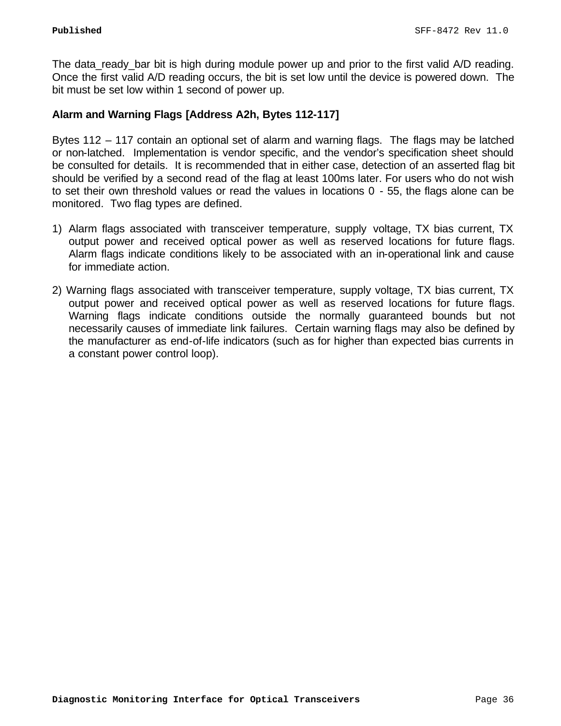The data\_ready\_bar bit is high during module power up and prior to the first valid A/D reading. Once the first valid A/D reading occurs, the bit is set low until the device is powered down. The bit must be set low within 1 second of power up.

# **Alarm and Warning Flags [Address A2h, Bytes 112-117]**

Bytes 112 – 117 contain an optional set of alarm and warning flags. The flags may be latched or non-latched. Implementation is vendor specific, and the vendor's specification sheet should be consulted for details. It is recommended that in either case, detection of an asserted flag bit should be verified by a second read of the flag at least 100ms later. For users who do not wish to set their own threshold values or read the values in locations 0 - 55, the flags alone can be monitored. Two flag types are defined.

- 1) Alarm flags associated with transceiver temperature, supply voltage, TX bias current, TX output power and received optical power as well as reserved locations for future flags. Alarm flags indicate conditions likely to be associated with an in-operational link and cause for immediate action.
- 2) Warning flags associated with transceiver temperature, supply voltage, TX bias current, TX output power and received optical power as well as reserved locations for future flags. Warning flags indicate conditions outside the normally guaranteed bounds but not necessarily causes of immediate link failures. Certain warning flags may also be defined by the manufacturer as end-of-life indicators (such as for higher than expected bias currents in a constant power control loop).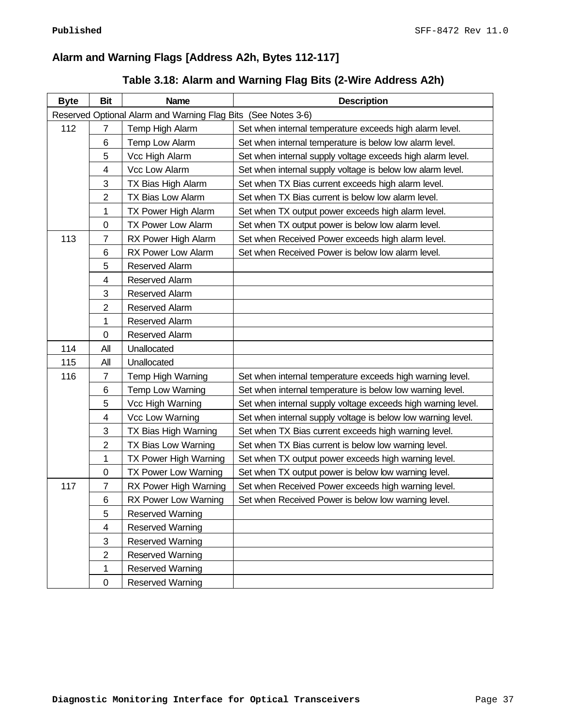# **Alarm and Warning Flags [Address A2h, Bytes 112-117]**

# **Table 3.18: Alarm and Warning Flag Bits (2-Wire Address A2h)**

| <b>Byte</b> | <b>Bit</b>     | <b>Name</b>                                                   | <b>Description</b>                                           |
|-------------|----------------|---------------------------------------------------------------|--------------------------------------------------------------|
|             |                | Reserved Optional Alarm and Warning Flag Bits (See Notes 3-6) |                                                              |
| 112         | $\overline{7}$ | Temp High Alarm                                               | Set when internal temperature exceeds high alarm level.      |
|             | 6              | Temp Low Alarm                                                | Set when internal temperature is below low alarm level.      |
|             | 5              | Vcc High Alarm                                                | Set when internal supply voltage exceeds high alarm level.   |
|             | 4              | Vcc Low Alarm                                                 | Set when internal supply voltage is below low alarm level.   |
|             | 3              | TX Bias High Alarm                                            | Set when TX Bias current exceeds high alarm level.           |
|             | $\overline{2}$ | TX Bias Low Alarm                                             | Set when TX Bias current is below low alarm level.           |
|             | 1              | TX Power High Alarm                                           | Set when TX output power exceeds high alarm level.           |
|             | 0              | <b>TX Power Low Alarm</b>                                     | Set when TX output power is below low alarm level.           |
| 113         | $\overline{7}$ | RX Power High Alarm                                           | Set when Received Power exceeds high alarm level.            |
|             | 6              | RX Power Low Alarm                                            | Set when Received Power is below low alarm level.            |
|             | 5              | Reserved Alarm                                                |                                                              |
|             | 4              | Reserved Alarm                                                |                                                              |
|             | 3              | Reserved Alarm                                                |                                                              |
|             | 2              | Reserved Alarm                                                |                                                              |
|             | 1              | Reserved Alarm                                                |                                                              |
|             | 0              | Reserved Alarm                                                |                                                              |
| 114         | All            | Unallocated                                                   |                                                              |
| 115         | All            | Unallocated                                                   |                                                              |
| 116         | 7              | Temp High Warning                                             | Set when internal temperature exceeds high warning level.    |
|             | 6              | Temp Low Warning                                              | Set when internal temperature is below low warning level.    |
|             | 5              | Vcc High Warning                                              | Set when internal supply voltage exceeds high warning level. |
|             | 4              | Vcc Low Warning                                               | Set when internal supply voltage is below low warning level. |
|             | 3              | TX Bias High Warning                                          | Set when TX Bias current exceeds high warning level.         |
|             | $\overline{2}$ | TX Bias Low Warning                                           | Set when TX Bias current is below low warning level.         |
|             | 1              | TX Power High Warning                                         | Set when TX output power exceeds high warning level.         |
|             | $\pmb{0}$      | TX Power Low Warning                                          | Set when TX output power is below low warning level.         |
| 117         | $\overline{7}$ | RX Power High Warning                                         | Set when Received Power exceeds high warning level.          |
|             | 6              | <b>RX Power Low Warning</b>                                   | Set when Received Power is below low warning level.          |
|             | 5              | <b>Reserved Warning</b>                                       |                                                              |
|             | $\overline{4}$ | <b>Reserved Warning</b>                                       |                                                              |
|             | 3              | <b>Reserved Warning</b>                                       |                                                              |
|             | $\overline{2}$ | <b>Reserved Warning</b>                                       |                                                              |
|             | 1              | <b>Reserved Warning</b>                                       |                                                              |
|             | $\pmb{0}$      | <b>Reserved Warning</b>                                       |                                                              |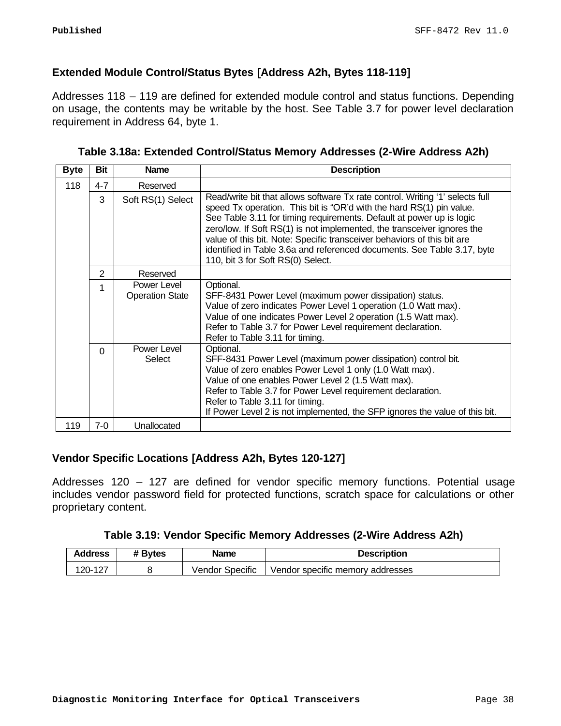# **Extended Module Control/Status Bytes [Address A2h, Bytes 118-119]**

Addresses 118 – 119 are defined for extended module control and status functions. Depending on usage, the contents may be writable by the host. See Table 3.7 for power level declaration requirement in Address 64, byte 1.

| Table 3.18a: Extended Control/Status Memory Addresses (2-Wire Address A2h) |  |  |  |
|----------------------------------------------------------------------------|--|--|--|
|----------------------------------------------------------------------------|--|--|--|

| <b>Byte</b> | <b>Bit</b>     | <b>Name</b>                           | <b>Description</b>                                                                                                                                                                                                                                                                                                                                                                                                                                                                                  |
|-------------|----------------|---------------------------------------|-----------------------------------------------------------------------------------------------------------------------------------------------------------------------------------------------------------------------------------------------------------------------------------------------------------------------------------------------------------------------------------------------------------------------------------------------------------------------------------------------------|
| 118         | $4 - 7$        | Reserved                              |                                                                                                                                                                                                                                                                                                                                                                                                                                                                                                     |
|             | 3              | Soft RS(1) Select                     | Read/write bit that allows software Tx rate control. Writing '1' selects full<br>speed Tx operation. This bit is "OR'd with the hard RS(1) pin value.<br>See Table 3.11 for timing requirements. Default at power up is logic<br>zero/low. If Soft RS(1) is not implemented, the transceiver ignores the<br>value of this bit. Note: Specific transceiver behaviors of this bit are<br>identified in Table 3.6a and referenced documents. See Table 3.17, byte<br>110, bit 3 for Soft RS(0) Select. |
|             | $\overline{2}$ | Reserved                              |                                                                                                                                                                                                                                                                                                                                                                                                                                                                                                     |
|             | 1              | Power Level<br><b>Operation State</b> | Optional.<br>SFF-8431 Power Level (maximum power dissipation) status.<br>Value of zero indicates Power Level 1 operation (1.0 Watt max).<br>Value of one indicates Power Level 2 operation (1.5 Watt max).<br>Refer to Table 3.7 for Power Level requirement declaration.<br>Refer to Table 3.11 for timing.                                                                                                                                                                                        |
|             | $\Omega$       | Power Level<br>Select                 | Optional.<br>SFF-8431 Power Level (maximum power dissipation) control bit.<br>Value of zero enables Power Level 1 only (1.0 Watt max).<br>Value of one enables Power Level 2 (1.5 Watt max).<br>Refer to Table 3.7 for Power Level requirement declaration.<br>Refer to Table 3.11 for timing.<br>If Power Level 2 is not implemented, the SFP ignores the value of this bit.                                                                                                                       |
| 119         | $7-0$          | Unallocated                           |                                                                                                                                                                                                                                                                                                                                                                                                                                                                                                     |

# **Vendor Specific Locations [Address A2h, Bytes 120-127]**

Addresses 120 – 127 are defined for vendor specific memory functions. Potential usage includes vendor password field for protected functions, scratch space for calculations or other proprietary content.

| <b>Address</b> | # Bytes | <b>Name</b>     | <b>Description</b>               |
|----------------|---------|-----------------|----------------------------------|
| 120-127        |         | Vendor Specific | Vendor specific memory addresses |